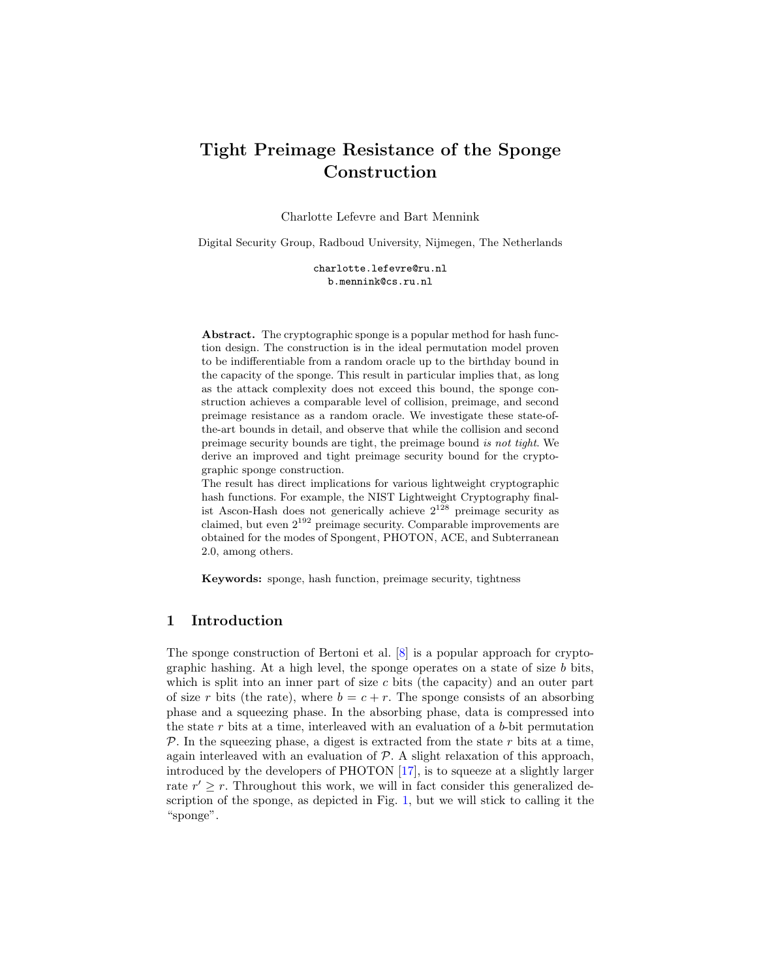# Tight Preimage Resistance of the Sponge Construction

Charlotte Lefevre and Bart Mennink

Digital Security Group, Radboud University, Nijmegen, The Netherlands

charlotte.lefevre@ru.nl b.mennink@cs.ru.nl

Abstract. The cryptographic sponge is a popular method for hash function design. The construction is in the ideal permutation model proven to be indifferentiable from a random oracle up to the birthday bound in the capacity of the sponge. This result in particular implies that, as long as the attack complexity does not exceed this bound, the sponge construction achieves a comparable level of collision, preimage, and second preimage resistance as a random oracle. We investigate these state-ofthe-art bounds in detail, and observe that while the collision and second preimage security bounds are tight, the preimage bound is not tight. We derive an improved and tight preimage security bound for the cryptographic sponge construction.

The result has direct implications for various lightweight cryptographic hash functions. For example, the NIST Lightweight Cryptography finalist Ascon-Hash does not generically achieve  $2^{128}$  preimage security as claimed, but even 2<sup>192</sup> preimage security. Comparable improvements are obtained for the modes of Spongent, PHOTON, ACE, and Subterranean 2.0, among others.

Keywords: sponge, hash function, preimage security, tightness

# <span id="page-0-0"></span>1 Introduction

The sponge construction of Bertoni et al. [\[8\]](#page-20-0) is a popular approach for cryptographic hashing. At a high level, the sponge operates on a state of size  $b$  bits, which is split into an inner part of size  $c$  bits (the capacity) and an outer part of size r bits (the rate), where  $b = c + r$ . The sponge consists of an absorbing phase and a squeezing phase. In the absorbing phase, data is compressed into the state  $r$  bits at a time, interleaved with an evaluation of a  $b$ -bit permutation  $P$ . In the squeezing phase, a digest is extracted from the state  $r$  bits at a time, again interleaved with an evaluation of  $P$ . A slight relaxation of this approach, introduced by the developers of PHOTON [\[17\]](#page-20-1), is to squeeze at a slightly larger rate  $r' \geq r$ . Throughout this work, we will in fact consider this generalized description of the sponge, as depicted in Fig. [1,](#page-6-0) but we will stick to calling it the "sponge".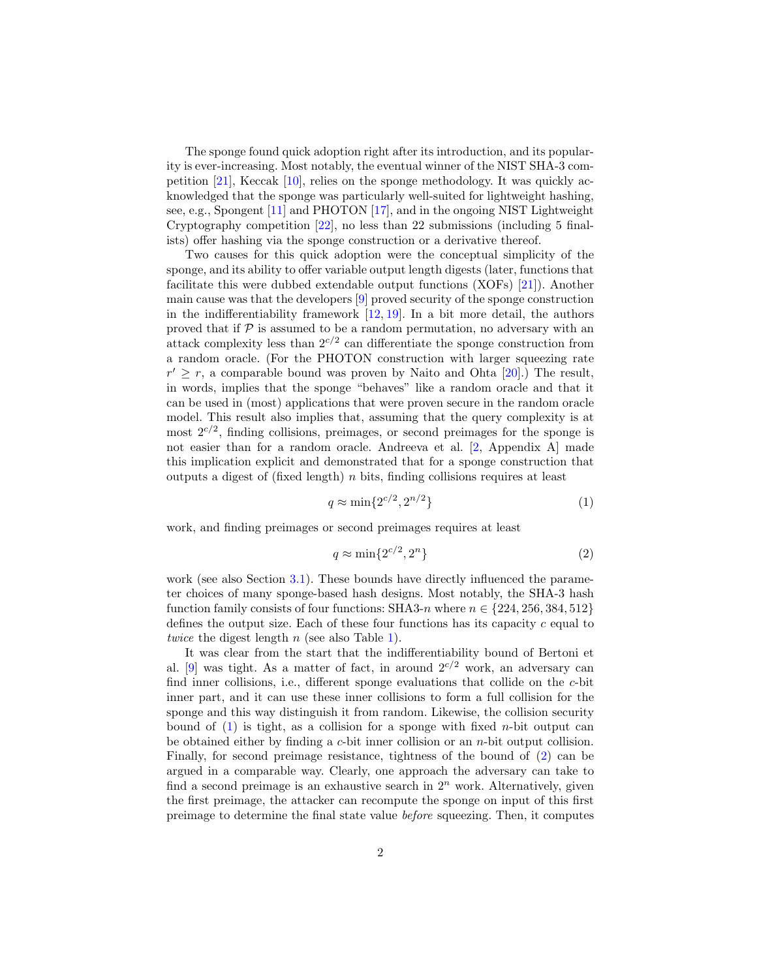The sponge found quick adoption right after its introduction, and its popularity is ever-increasing. Most notably, the eventual winner of the NIST SHA-3 competition  $[21]$ , Keccak  $[10]$ , relies on the sponge methodology. It was quickly acknowledged that the sponge was particularly well-suited for lightweight hashing, see, e.g., Spongent [\[11\]](#page-20-3) and PHOTON [\[17\]](#page-20-1), and in the ongoing NIST Lightweight Cryptography competition [\[22\]](#page-21-1), no less than 22 submissions (including 5 finalists) offer hashing via the sponge construction or a derivative thereof.

Two causes for this quick adoption were the conceptual simplicity of the sponge, and its ability to offer variable output length digests (later, functions that facilitate this were dubbed extendable output functions (XOFs) [\[21\]](#page-21-0)). Another main cause was that the developers [\[9\]](#page-20-4) proved security of the sponge construction in the indifferentiability framework  $[12, 19]$  $[12, 19]$  $[12, 19]$ . In a bit more detail, the authors proved that if  $P$  is assumed to be a random permutation, no adversary with an attack complexity less than  $2^{c/2}$  can differentiate the sponge construction from a random oracle. (For the PHOTON construction with larger squeezing rate  $r' \geq r$ , a comparable bound was proven by Naito and Ohta [\[20\]](#page-21-3).) The result, in words, implies that the sponge "behaves" like a random oracle and that it can be used in (most) applications that were proven secure in the random oracle model. This result also implies that, assuming that the query complexity is at most  $2^{c/2}$ , finding collisions, preimages, or second preimages for the sponge is not easier than for a random oracle. Andreeva et al. [\[2,](#page-19-0) Appendix A] made this implication explicit and demonstrated that for a sponge construction that outputs a digest of (fixed length)  $n$  bits, finding collisions requires at least

<span id="page-1-0"></span>
$$
q \approx \min\{2^{c/2}, 2^{n/2}\}\tag{1}
$$

work, and finding preimages or second preimages requires at least

<span id="page-1-1"></span>
$$
q \approx \min\{2^{c/2}, 2^n\} \tag{2}
$$

work (see also Section [3.1\)](#page-7-0). These bounds have directly influenced the parameter choices of many sponge-based hash designs. Most notably, the SHA-3 hash function family consists of four functions: SHA3-n where  $n \in \{224, 256, 384, 512\}$ defines the output size. Each of these four functions has its capacity  $c$  equal to twice the digest length  $n$  (see also Table [1\)](#page-5-0).

It was clear from the start that the indifferentiability bound of Bertoni et al. [\[9\]](#page-20-4) was tight. As a matter of fact, in around  $2^{c/2}$  work, an adversary can find inner collisions, i.e., different sponge evaluations that collide on the c-bit inner part, and it can use these inner collisions to form a full collision for the sponge and this way distinguish it from random. Likewise, the collision security bound of  $(1)$  is tight, as a collision for a sponge with fixed *n*-bit output can be obtained either by finding a c-bit inner collision or an n-bit output collision. Finally, for second preimage resistance, tightness of the bound of [\(2\)](#page-1-1) can be argued in a comparable way. Clearly, one approach the adversary can take to find a second preimage is an exhaustive search in  $2^n$  work. Alternatively, given the first preimage, the attacker can recompute the sponge on input of this first preimage to determine the final state value before squeezing. Then, it computes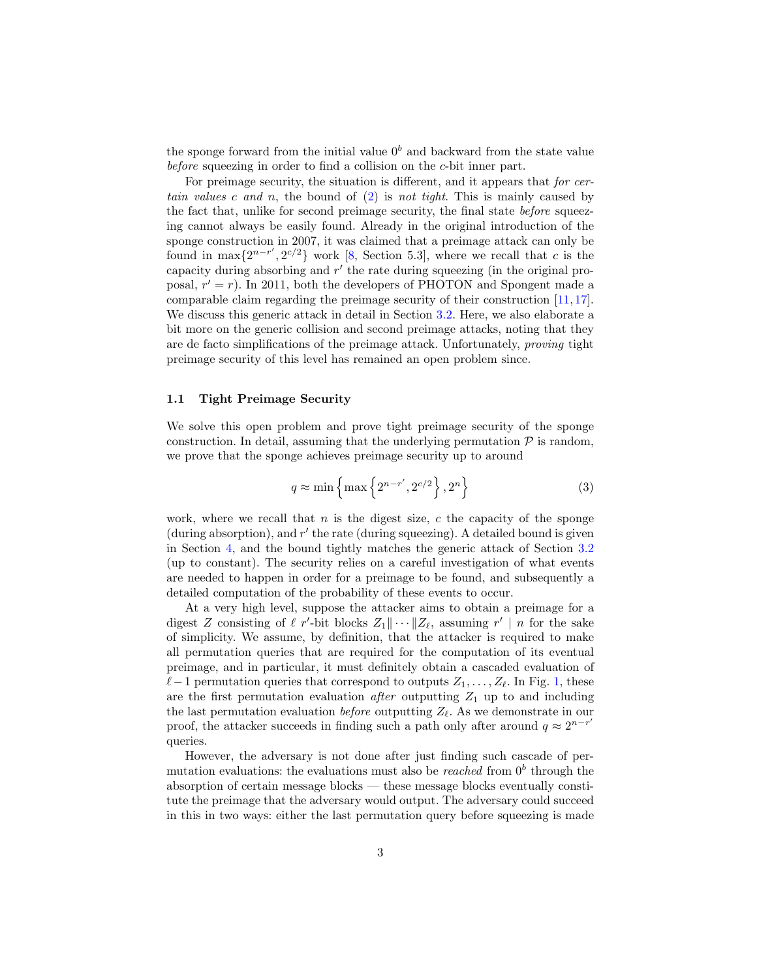the sponge forward from the initial value  $0<sup>b</sup>$  and backward from the state value before squeezing in order to find a collision on the c-bit inner part.

For preimage security, the situation is different, and it appears that for certain values c and n, the bound of  $(2)$  is not tight. This is mainly caused by the fact that, unlike for second preimage security, the final state before squeezing cannot always be easily found. Already in the original introduction of the sponge construction in 2007, it was claimed that a preimage attack can only be found in max $\{2^{n-r}, 2^{c/2}\}\$  work [\[8,](#page-20-0) Section 5.3], where we recall that c is the capacity during absorbing and  $r'$  the rate during squeezing (in the original proposal,  $r' = r$ ). In 2011, both the developers of PHOTON and Spongent made a comparable claim regarding the preimage security of their construction [\[11,](#page-20-3) [17\]](#page-20-1). We discuss this generic attack in detail in Section [3.2.](#page-8-0) Here, we also elaborate a bit more on the generic collision and second preimage attacks, noting that they are de facto simplifications of the preimage attack. Unfortunately, proving tight preimage security of this level has remained an open problem since.

## 1.1 Tight Preimage Security

We solve this open problem and prove tight preimage security of the sponge construction. In detail, assuming that the underlying permutation  $P$  is random, we prove that the sponge achieves preimage security up to around

<span id="page-2-0"></span>
$$
q \approx \min\left\{\max\left\{2^{n-r'}, 2^{c/2}\right\}, 2^n\right\} \tag{3}
$$

work, where we recall that n is the digest size, c the capacity of the sponge (during absorption), and  $r'$  the rate (during squeezing). A detailed bound is given in Section [4,](#page-9-0) and the bound tightly matches the generic attack of Section [3.2](#page-8-0) (up to constant). The security relies on a careful investigation of what events are needed to happen in order for a preimage to be found, and subsequently a detailed computation of the probability of these events to occur.

At a very high level, suppose the attacker aims to obtain a preimage for a digest Z consisting of  $\ell$  r'-bit blocks  $Z_1 \|\cdots \| Z_{\ell}$ , assuming r' | n for the sake of simplicity. We assume, by definition, that the attacker is required to make all permutation queries that are required for the computation of its eventual preimage, and in particular, it must definitely obtain a cascaded evaluation of  $\ell-1$  permutation queries that correspond to outputs  $Z_1, \ldots, Z_\ell$  $Z_1, \ldots, Z_\ell$  $Z_1, \ldots, Z_\ell$ . In Fig. 1, these are the first permutation evaluation *after* outputting  $Z_1$  up to and including the last permutation evaluation *before* outputting  $Z_{\ell}$ . As we demonstrate in our proof, the attacker succeeds in finding such a path only after around  $q \approx 2^{n-r'}$ queries.

However, the adversary is not done after just finding such cascade of permutation evaluations: the evaluations must also be *reached* from  $0<sup>b</sup>$  through the absorption of certain message blocks — these message blocks eventually constitute the preimage that the adversary would output. The adversary could succeed in this in two ways: either the last permutation query before squeezing is made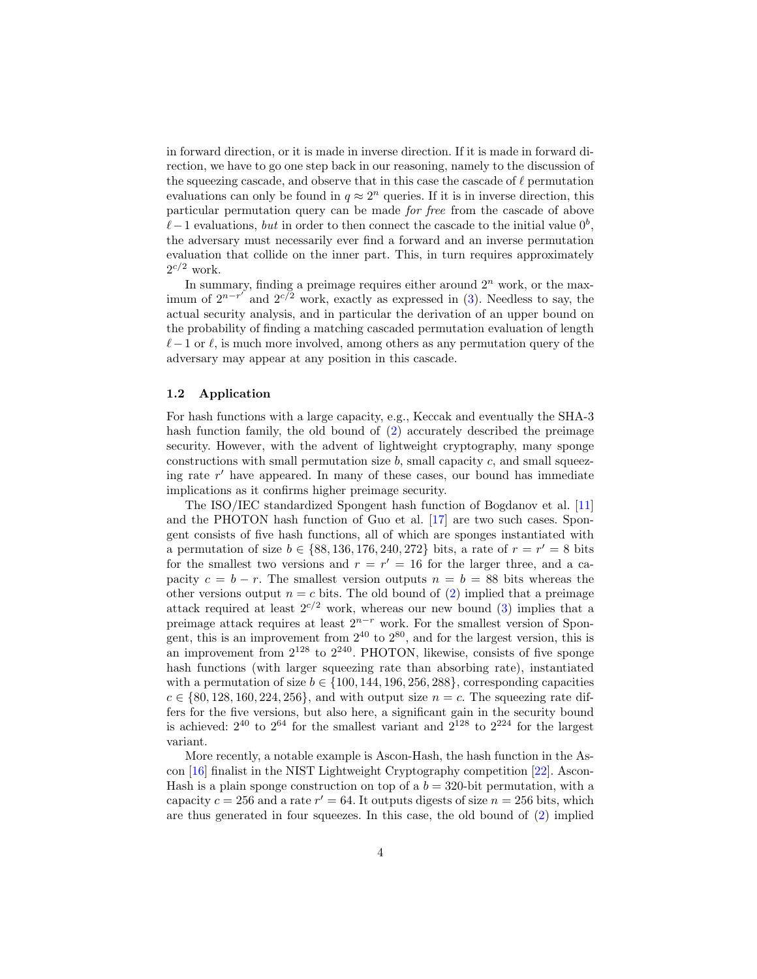in forward direction, or it is made in inverse direction. If it is made in forward direction, we have to go one step back in our reasoning, namely to the discussion of the squeezing cascade, and observe that in this case the cascade of  $\ell$  permutation evaluations can only be found in  $q \approx 2^n$  queries. If it is in inverse direction, this particular permutation query can be made for free from the cascade of above  $\ell-1$  evaluations, but in order to then connect the cascade to the initial value  $0^b$ , the adversary must necessarily ever find a forward and an inverse permutation evaluation that collide on the inner part. This, in turn requires approximately  $2^{c/2}$  work.

In summary, finding a preimage requires either around  $2<sup>n</sup>$  work, or the maximum of  $2^{n-r'}$  and  $2^{c/2}$  work, exactly as expressed in [\(3\)](#page-2-0). Needless to say, the actual security analysis, and in particular the derivation of an upper bound on the probability of finding a matching cascaded permutation evaluation of length  $\ell-1$  or  $\ell$ , is much more involved, among others as any permutation query of the adversary may appear at any position in this cascade.

#### 1.2 Application

For hash functions with a large capacity, e.g., Keccak and eventually the SHA-3 hash function family, the old bound of [\(2\)](#page-1-1) accurately described the preimage security. However, with the advent of lightweight cryptography, many sponge constructions with small permutation size  $b$ , small capacity  $c$ , and small squeezing rate  $r'$  have appeared. In many of these cases, our bound has immediate implications as it confirms higher preimage security.

The ISO/IEC standardized Spongent hash function of Bogdanov et al. [\[11\]](#page-20-3) and the PHOTON hash function of Guo et al. [\[17\]](#page-20-1) are two such cases. Spongent consists of five hash functions, all of which are sponges instantiated with a permutation of size  $b \in \{88, 136, 176, 240, 272\}$  bits, a rate of  $r = r' = 8$  bits for the smallest two versions and  $r = r' = 16$  for the larger three, and a capacity  $c = b - r$ . The smallest version outputs  $n = b = 88$  bits whereas the other versions output  $n = c$  bits. The old bound of [\(2\)](#page-1-1) implied that a preimage attack required at least  $2^{c/2}$  work, whereas our new bound [\(3\)](#page-2-0) implies that a preimage attack requires at least  $2^{n-r}$  work. For the smallest version of Spongent, this is an improvement from  $2^{40}$  to  $2^{80}$ , and for the largest version, this is an improvement from  $2^{128}$  to  $2^{240}$ . PHOTON, likewise, consists of five sponge hash functions (with larger squeezing rate than absorbing rate), instantiated with a permutation of size  $b \in \{100, 144, 196, 256, 288\}$ , corresponding capacities  $c \in \{80, 128, 160, 224, 256\}$ , and with output size  $n = c$ . The squeezing rate differs for the five versions, but also here, a significant gain in the security bound is achieved:  $2^{40}$  to  $2^{64}$  for the smallest variant and  $2^{128}$  to  $2^{224}$  for the largest variant.

More recently, a notable example is Ascon-Hash, the hash function in the Ascon [\[16\]](#page-20-6) finalist in the NIST Lightweight Cryptography competition [\[22\]](#page-21-1). Ascon-Hash is a plain sponge construction on top of a  $b = 320$ -bit permutation, with a capacity  $c = 256$  and a rate  $r' = 64$ . It outputs digests of size  $n = 256$  bits, which are thus generated in four squeezes. In this case, the old bound of [\(2\)](#page-1-1) implied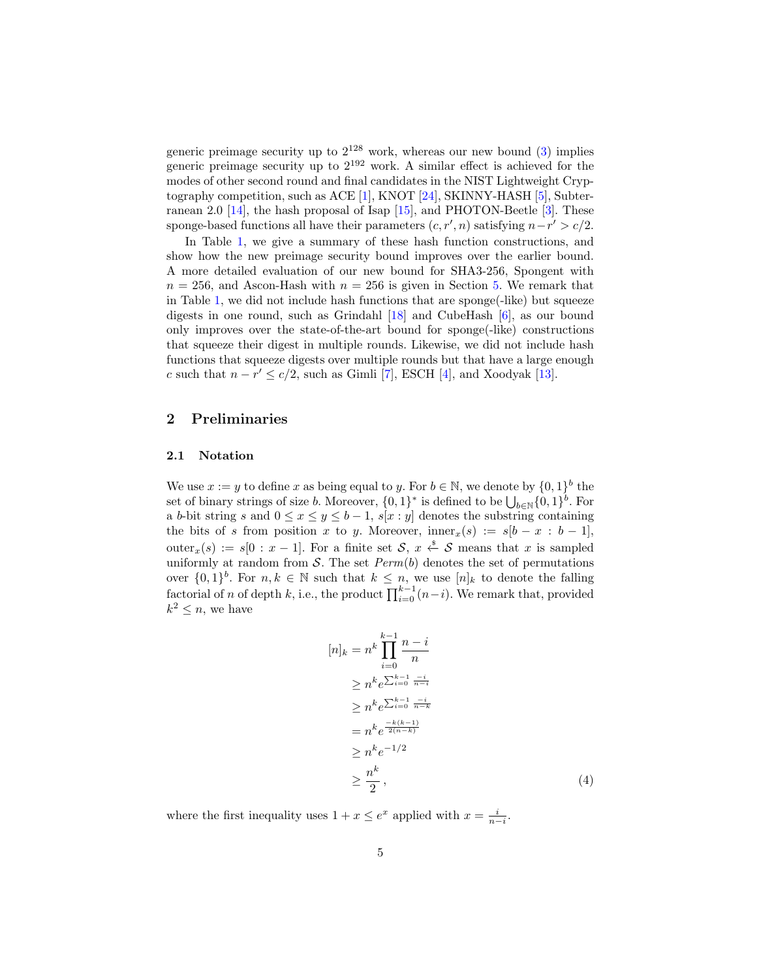generic preimage security up to  $2^{128}$  work, whereas our new bound [\(3\)](#page-2-0) implies generic preimage security up to  $2^{192}$  work. A similar effect is achieved for the modes of other second round and final candidates in the NIST Lightweight Cryptography competition, such as ACE [\[1\]](#page-19-1), KNOT [\[24\]](#page-21-4), SKINNY-HASH [\[5\]](#page-20-7), Subterranean 2.0 [\[14\]](#page-20-8), the hash proposal of Isap [\[15\]](#page-20-9), and PHOTON-Beetle [\[3\]](#page-19-2). These sponge-based functions all have their parameters  $(c, r', n)$  satisfying  $n-r' > c/2$ .

In Table [1,](#page-5-0) we give a summary of these hash function constructions, and show how the new preimage security bound improves over the earlier bound. A more detailed evaluation of our new bound for SHA3-256, Spongent with  $n = 256$ , and Ascon-Hash with  $n = 256$  is given in Section [5.](#page-17-0) We remark that in Table [1,](#page-5-0) we did not include hash functions that are sponge(-like) but squeeze digests in one round, such as Grindahl [\[18\]](#page-20-10) and CubeHash [\[6\]](#page-20-11), as our bound only improves over the state-of-the-art bound for sponge(-like) constructions that squeeze their digest in multiple rounds. Likewise, we did not include hash functions that squeeze digests over multiple rounds but that have a large enough c such that  $n - r' \leq c/2$ , such as Gimli [\[7\]](#page-20-12), ESCH [\[4\]](#page-19-3), and Xoodyak [\[13\]](#page-20-13).

# 2 Preliminaries

#### 2.1 Notation

We use  $x := y$  to define x as being equal to y. For  $b \in \mathbb{N}$ , we denote by  $\{0, 1\}^b$  the set of binary strings of size *b*. Moreover,  $\{0,1\}^*$  is defined to be  $\bigcup_{b\in\mathbb{N}}\{0,1\}^b$ . For a b-bit string s and  $0 \le x \le y \le b - 1$ ,  $s[x : y]$  denotes the substring containing the bits of s from position x to y. Moreover,  $\text{inner}_x(s) := s[b - x : b - 1]$ , outer<sub>x</sub>(s) := s[0 : x - 1]. For a finite set S, x  $\xi$  S means that x is sampled uniformly at random from  $S$ . The set  $Perm(b)$  denotes the set of permutations over  $\{0,1\}^b$ . For  $n, k \in \mathbb{N}$  such that  $k \leq n$ , we use  $[n]_k$  to denote the falling factorial of n of depth k, i.e., the product  $\prod_{i=0}^{k-1}(n-i)$ . We remark that, provided  $k^2 \leq n$ , we have

<span id="page-4-0"></span>
$$
[n]_k = n^k \prod_{i=0}^{k-1} \frac{n-i}{n}
$$
  
\n
$$
\ge n^k e^{\sum_{i=0}^{k-1} \frac{-i}{n-i}}
$$
  
\n
$$
\ge n^k e^{\sum_{i=0}^{k-1} \frac{-i}{n-k}}
$$
  
\n
$$
= n^k e^{\frac{-k(k-1)}{2(n-k)}}
$$
  
\n
$$
\ge n^k e^{-1/2}
$$
  
\n
$$
\ge \frac{n^k}{2},
$$
\n(4)

where the first inequality uses  $1 + x \le e^x$  applied with  $x = \frac{i}{n-i}$ .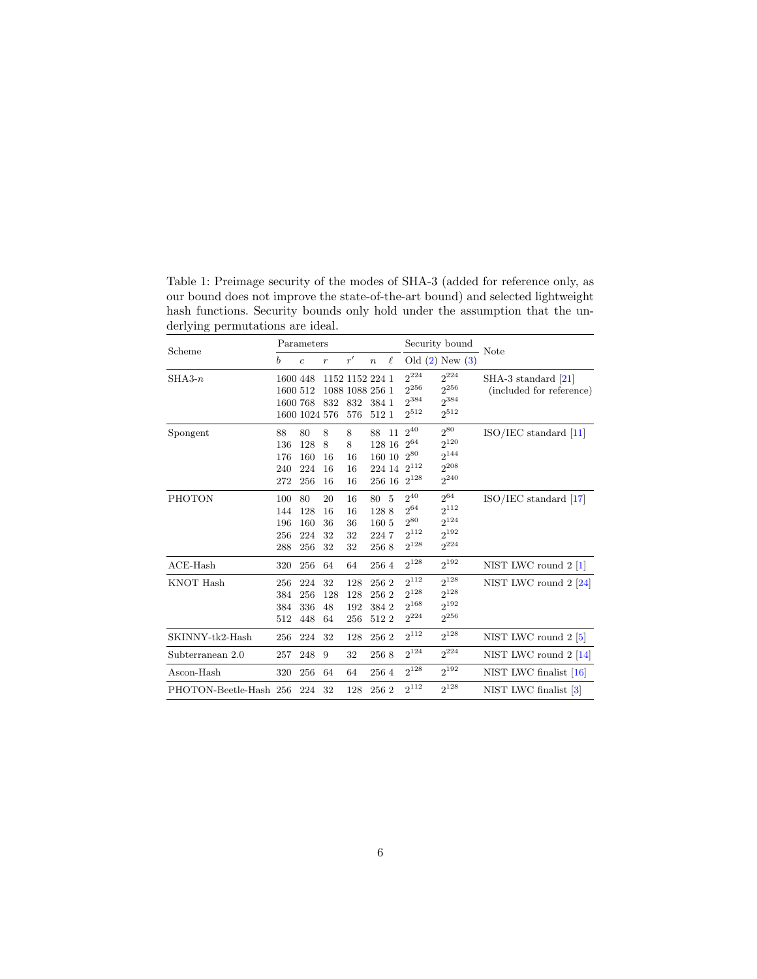<span id="page-5-0"></span>Table 1: Preimage security of the modes of SHA-3 (added for reference only, as our bound does not improve the state-of-the-art bound) and selected lightweight hash functions. Security bounds only hold under the assumption that the underlying permutations are ideal.  $\overline{\phantom{0}}$ 

| Scheme                 | Parameters                       |                                |                            |                            |                                            |        | Security bound                                                 |                                                                | - Note                                            |
|------------------------|----------------------------------|--------------------------------|----------------------------|----------------------------|--------------------------------------------|--------|----------------------------------------------------------------|----------------------------------------------------------------|---------------------------------------------------|
|                        | b                                | $\overline{c}$                 | $\boldsymbol{r}$           | r'                         | $\boldsymbol{n}$                           | $\ell$ |                                                                | Old $(2)$ New $(3)$                                            |                                                   |
| $SHA3-n$               | 1600 448<br>1600 512<br>1600 768 |                                | 1152 1152 224 1<br>832     | 1088 1088 256 1<br>832     | 384 1                                      |        | $2^{224}$<br>$2^{256}$<br>$2^{384}$<br>$2^{512}$               | $2^{224}$<br>$2^{256}$<br>2384<br>$2^{512}$                    | $SHA-3$ standard [21]<br>(included for reference) |
|                        |                                  | 1600 1024 576                  |                            | 576                        | 512 1                                      |        |                                                                |                                                                |                                                   |
| Spongent               | 88<br>136<br>176<br>240<br>272   | 80<br>128<br>160<br>224<br>256 | 8<br>8<br>16<br>16<br>16   | 8<br>8<br>16<br>16<br>16   | 88<br>128 16<br>160 10<br>224 14<br>256 16 | 11     | $2^{40}$<br>$2^{64}$<br>$2^{80}$<br>$2^{112}$<br>$2^{128}$     | $2^{80}$<br>$2^{120}$<br>$2^{144}$<br>$2^{208}$<br>$2^{240}$   | ISO/IEC standard [11]                             |
| PHOTON                 | 100<br>144<br>196<br>256<br>288  | 80<br>128<br>160<br>224<br>256 | 20<br>16<br>36<br>32<br>32 | 16<br>16<br>36<br>32<br>32 | 80<br>1288<br>160 5<br>2247<br>2568        | 5      | $2^{40}\,$<br>$2^{64}$<br>$2^{80}\,$<br>$2^{112}$<br>$2^{128}$ | $2^{64}\,$<br>$2^{112}$<br>$2^{124}$<br>$2^{192}$<br>$2^{224}$ | $ISO/IEC$ standard $[17]$                         |
| $ACE$ -Hash            | 320                              | 256                            | 64                         | 64                         | 2564                                       |        | $2^{128}$                                                      | $2^{192}$                                                      | NIST LWC round $2 \lfloor 1 \rfloor$              |
| KNOT Hash              | 256<br>384<br>384<br>512         | 224<br>256<br>336<br>448       | 32<br>128<br>48<br>64      | 128<br>128<br>192<br>256   | 256 2<br>256 2<br>384 2<br>5122            |        | $2^{112}$<br>$2^{128}$<br>$2^{168}$<br>$2^{224}$               | $2^{128}$<br>$2^{128}$<br>$2^{192}$<br>$2^{256}$               | NIST LWC round $2 \; 24$                          |
| SKINNY-tk2-Hash        | 256                              | 224                            | 32                         | 128                        | 256 2                                      |        | $2^{112}$                                                      | $2^{128}$                                                      | NIST LWC round $2\left[5\right]$                  |
| Subterranean 2.0       | 257                              | 248                            | 9                          | 32                         | 2568                                       |        | $2^{124}$                                                      | $2^{224}$                                                      | NIST LWC round $2 \; [14]$                        |
| Ascon-Hash             | 320                              | 256                            | 64                         | 64                         | 2564                                       |        | $2^{128}$                                                      | $2^{192}$                                                      | NIST LWC finalist $[16]$                          |
| PHOTON-Beetle-Hash 256 |                                  | 224                            | 32                         | 128                        | 256 2                                      |        | $2^{112}$                                                      | $2^{128}$                                                      | NIST LWC finalist [3]                             |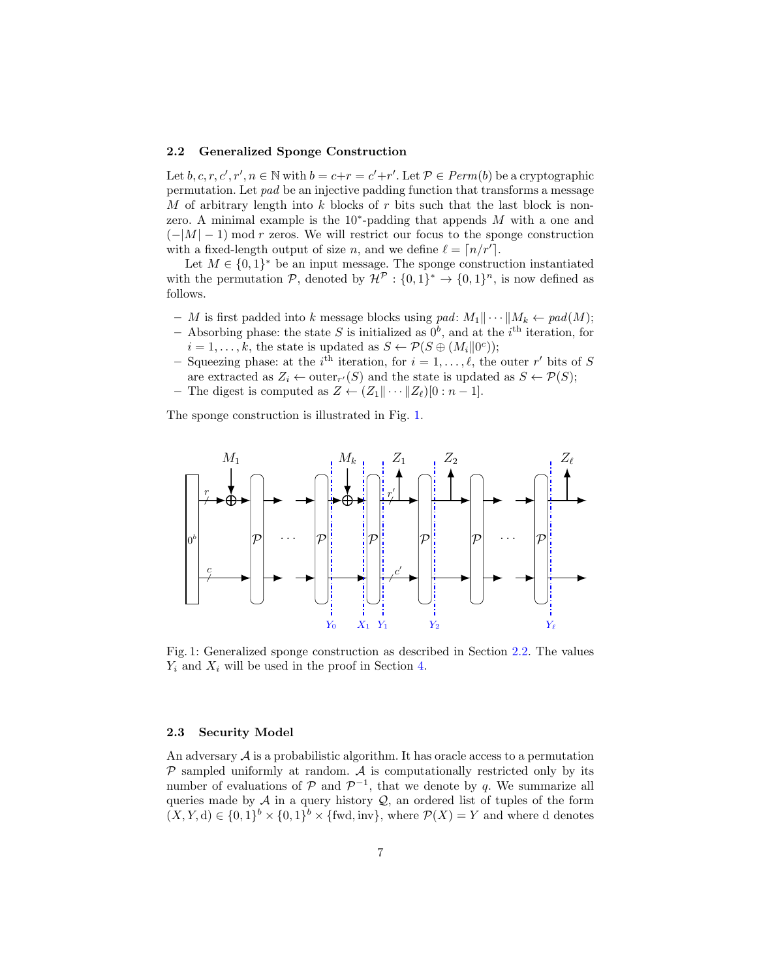#### <span id="page-6-1"></span>2.2 Generalized Sponge Construction

Let  $b, c, r, c', r', n \in \mathbb{N}$  with  $b = c+r = c'+r'$ . Let  $\mathcal{P} \in Perm(b)$  be a cryptographic permutation. Let pad be an injective padding function that transforms a message M of arbitrary length into  $k$  blocks of  $r$  bits such that the last block is nonzero. A minimal example is the  $10^*$ -padding that appends M with a one and  $(-|M|-1)$  mod r zeros. We will restrict our focus to the sponge construction with a fixed-length output of size n, and we define  $\ell = \lceil n/r' \rceil$ .

Let  $M \in \{0,1\}^*$  be an input message. The sponge construction instantiated with the permutation  $P$ , denoted by  $\mathcal{H}^P: \{0,1\}^* \to \{0,1\}^n$ , is now defined as follows.

- M is first padded into k message blocks using pad:  $M_1 \|\cdots \| M_k \leftarrow pad(M);$
- Absorbing phase: the state S is initialized as  $0^b$ , and at the i<sup>th</sup> iteration, for  $i = 1, ..., k$ , the state is updated as  $S \leftarrow \mathcal{P}(S \oplus (M_i||0^c));$
- Squeezing phase: at the i<sup>th</sup> iteration, for  $i = 1, \ldots, \ell$ , the outer r' bits of S are extracted as  $Z_i \leftarrow \text{outer}_{r'}(S)$  and the state is updated as  $S \leftarrow \mathcal{P}(S)$ ;
- The digest is computed as  $Z \leftarrow (Z_1 || \cdots || Z_\ell)[0 : n 1].$

The sponge construction is illustrated in Fig. [1.](#page-6-0)

<span id="page-6-0"></span>

Fig. 1: Generalized sponge construction as described in Section [2.2.](#page-6-1) The values  $Y_i$  and  $X_i$  will be used in the proof in Section [4.](#page-9-0)

## <span id="page-6-2"></span>2.3 Security Model

An adversary  $\mathcal A$  is a probabilistic algorithm. It has oracle access to a permutation  $P$  sampled uniformly at random. A is computationally restricted only by its number of evaluations of  $P$  and  $P^{-1}$ , that we denote by q. We summarize all queries made by  $A$  in a query history  $Q$ , an ordered list of tuples of the form  $(X, Y, d) \in \{0, 1\}^b \times \{0, 1\}^b \times \{\text{fwd}, \text{inv}\},\$  where  $\mathcal{P}(X) = Y$  and where d denotes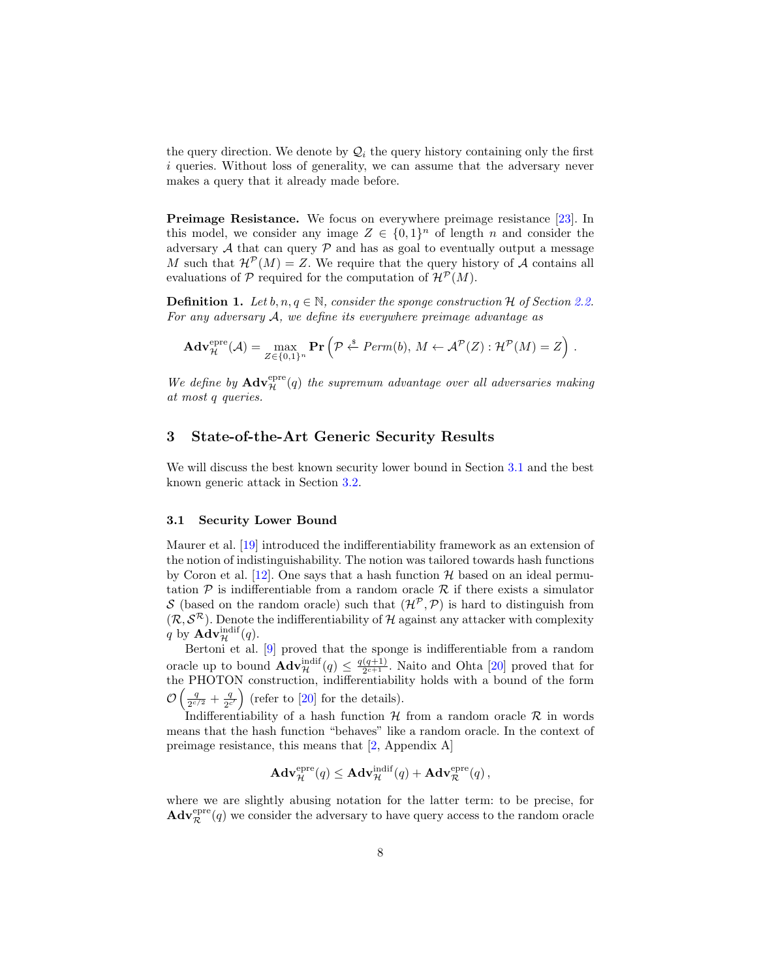the query direction. We denote by  $\mathcal{Q}_i$  the query history containing only the first i queries. Without loss of generality, we can assume that the adversary never makes a query that it already made before.

Preimage Resistance. We focus on everywhere preimage resistance [\[23\]](#page-21-5). In this model, we consider any image  $Z \in \{0,1\}^n$  of length n and consider the adversary  $A$  that can query  $P$  and has as goal to eventually output a message M such that  $\mathcal{H}^{\mathcal{P}}(M) = Z$ . We require that the query history of A contains all evaluations of P required for the computation of  $\mathcal{H}^{\mathcal{P}}(M)$ .

**Definition 1.** Let b,  $n, q \in \mathbb{N}$ , consider the sponge construction H of Section [2.2.](#page-6-1) For any adversary A, we define its everywhere preimage advantage as

$$
\mathbf{Adv}_{\mathcal{H}}^{\text{epre}}(\mathcal{A}) = \max_{Z \in \{0,1\}^n} \mathbf{Pr}\left(\mathcal{P} \stackrel{\hspace{0.1em}\mathsf{\scriptscriptstyle\$}}{\leftarrow} \mathit{Perm}(b), M \leftarrow \mathcal{A}^{\mathcal{P}}(Z) : \mathcal{H}^{\mathcal{P}}(M) = Z\right).
$$

We define by  $\mathbf{Adv}_{\mathcal{H}}^{\text{epre}}(q)$  the supremum advantage over all adversaries making at most q queries.

# 3 State-of-the-Art Generic Security Results

We will discuss the best known security lower bound in Section [3.1](#page-7-0) and the best known generic attack in Section [3.2.](#page-8-0)

#### <span id="page-7-0"></span>3.1 Security Lower Bound

Maurer et al. [\[19\]](#page-21-2) introduced the indifferentiability framework as an extension of the notion of indistinguishability. The notion was tailored towards hash functions by Coron et al. [\[12\]](#page-20-5). One says that a hash function  $\mathcal{H}$  based on an ideal permutation  $P$  is indifferentiable from a random oracle  $R$  if there exists a simulator S (based on the random oracle) such that  $(\mathcal{H}^{\mathcal{P}}, \mathcal{P})$  is hard to distinguish from  $(\mathcal{R}, \mathcal{S}^{\mathcal{R}})$ . Denote the indifferentiability of H against any attacker with complexity q by  $\mathbf{Adv}_{\mathcal{H}}^{\text{indif}}(q)$ .

Bertoni et al. [\[9\]](#page-20-4) proved that the sponge is indifferentiable from a random oracle up to bound  $\mathbf{Adv}_{\mathcal{H}}^{\text{indif}}(q) \leq \frac{q(q+1)}{2^{c+1}}$  $\frac{(q+1)}{2^{c+1}}$ . Naito and Ohta [\[20\]](#page-21-3) proved that for the PHOTON construction, indifferentiability holds with a bound of the form  $\mathcal{O}\left(\frac{q}{2c}\right)$  $\frac{q}{2^{c/2}} + \frac{q}{2^c}$  $\frac{q}{2c'}$  (refer to [\[20\]](#page-21-3) for the details).

Indifferentiability of a hash function  $\mathcal H$  from a random oracle  $\mathcal R$  in words means that the hash function "behaves" like a random oracle. In the context of preimage resistance, this means that [\[2,](#page-19-0) Appendix A]

$$
\mathbf{Adv}_{\mathcal{H}}^{\text{epre}}(q) \leq \mathbf{Adv}_{\mathcal{H}}^{\text{indif}}(q) + \mathbf{Adv}_{\mathcal{R}}^{\text{epre}}(q) ,
$$

where we are slightly abusing notation for the latter term: to be precise, for  $\mathbf{Adv}_{\mathcal{R}}^{\text{epre}}(q)$  we consider the adversary to have query access to the random oracle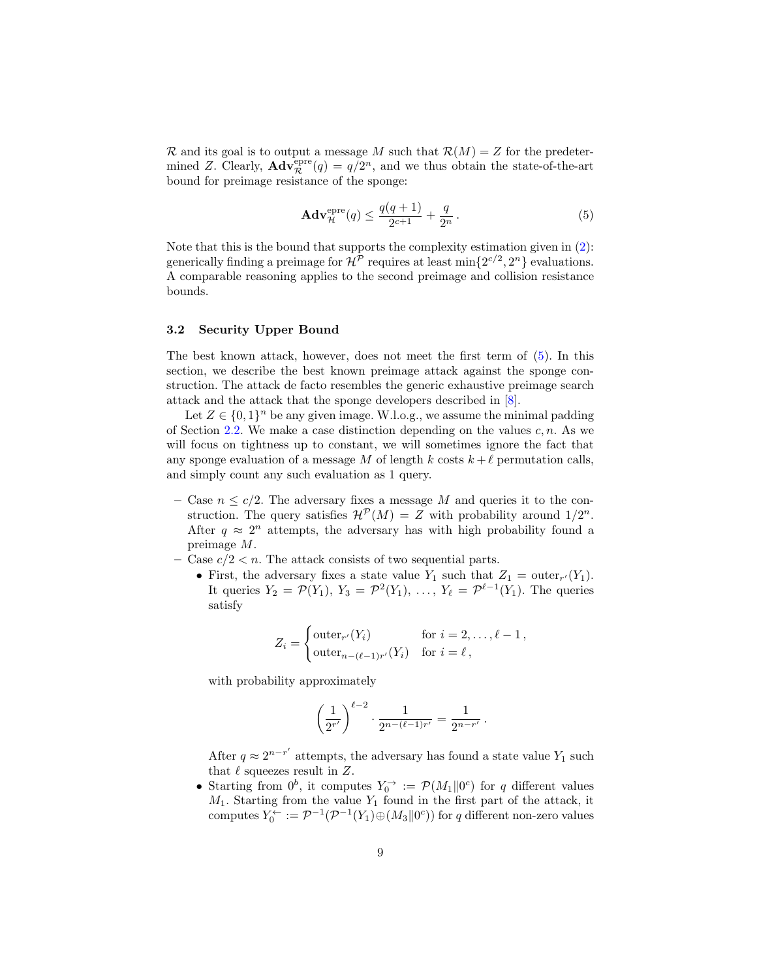R and its goal is to output a message M such that  $\mathcal{R}(M) = Z$  for the predetermined Z. Clearly,  $\mathbf{Adv}_{\mathcal{R}}^{\text{epre}}(q) = q/2^n$ , and we thus obtain the state-of-the-art bound for preimage resistance of the sponge:

<span id="page-8-1"></span>
$$
\mathbf{Adv}_{\mathcal{H}}^{\text{epre}}(q) \le \frac{q(q+1)}{2^{c+1}} + \frac{q}{2^n} \,. \tag{5}
$$

Note that this is the bound that supports the complexity estimation given in [\(2\)](#page-1-1): generically finding a preimage for  $\mathcal{H}^{\mathcal{P}}$  requires at least  $\min\{2^{c/2}, 2^{n}\}$  evaluations. A comparable reasoning applies to the second preimage and collision resistance bounds.

### <span id="page-8-0"></span>3.2 Security Upper Bound

The best known attack, however, does not meet the first term of [\(5\)](#page-8-1). In this section, we describe the best known preimage attack against the sponge construction. The attack de facto resembles the generic exhaustive preimage search attack and the attack that the sponge developers described in [\[8\]](#page-20-0).

Let  $Z \in \{0,1\}^n$  be any given image. W.l.o.g., we assume the minimal padding of Section [2.2.](#page-6-1) We make a case distinction depending on the values  $c, n$ . As we will focus on tightness up to constant, we will sometimes ignore the fact that any sponge evaluation of a message M of length k costs  $k + \ell$  permutation calls, and simply count any such evaluation as 1 query.

- Case  $n \leq c/2$ . The adversary fixes a message M and queries it to the construction. The query satisfies  $\mathcal{H}^{\mathcal{P}}(M) = Z$  with probability around  $1/2^n$ . After  $q \approx 2^n$  attempts, the adversary has with high probability found a preimage M.
- Case  $c/2 < n$ . The attack consists of two sequential parts.
	- First, the adversary fixes a state value  $Y_1$  such that  $Z_1 = \text{outer}_{r'}(Y_1)$ . It queries  $Y_2 = \mathcal{P}(Y_1)$ ,  $Y_3 = \mathcal{P}^2(Y_1)$ , ...,  $Y_\ell = \mathcal{P}^{\ell-1}(Y_1)$ . The queries satisfy

$$
Z_i = \begin{cases} \text{outer}_{r'}(Y_i) & \text{for } i = 2, \dots, \ell - 1, \\ \text{outer}_{n - (\ell - 1)r'}(Y_i) & \text{for } i = \ell, \end{cases}
$$

with probability approximately

$$
\left(\frac{1}{2^{r'}}\right)^{\ell-2} \cdot \frac{1}{2^{n-(\ell-1)r'}} = \frac{1}{2^{n-r'}}.
$$

After  $q \approx 2^{n-r'}$  attempts, the adversary has found a state value  $Y_1$  such that  $\ell$  squeezes result in  $Z$ .

• Starting from  $0^b$ , it computes  $Y_0^{\rightarrow} := \mathcal{P}(M_1 \| 0^c)$  for q different values  $M_1$ . Starting from the value  $Y_1$  found in the first part of the attack, it computes  $Y_0^{\leftarrow} := \mathcal{P}^{-1}(\mathcal{P}^{-1}(Y_1) \oplus (M_3 \parallel 0^c))$  for q different non-zero values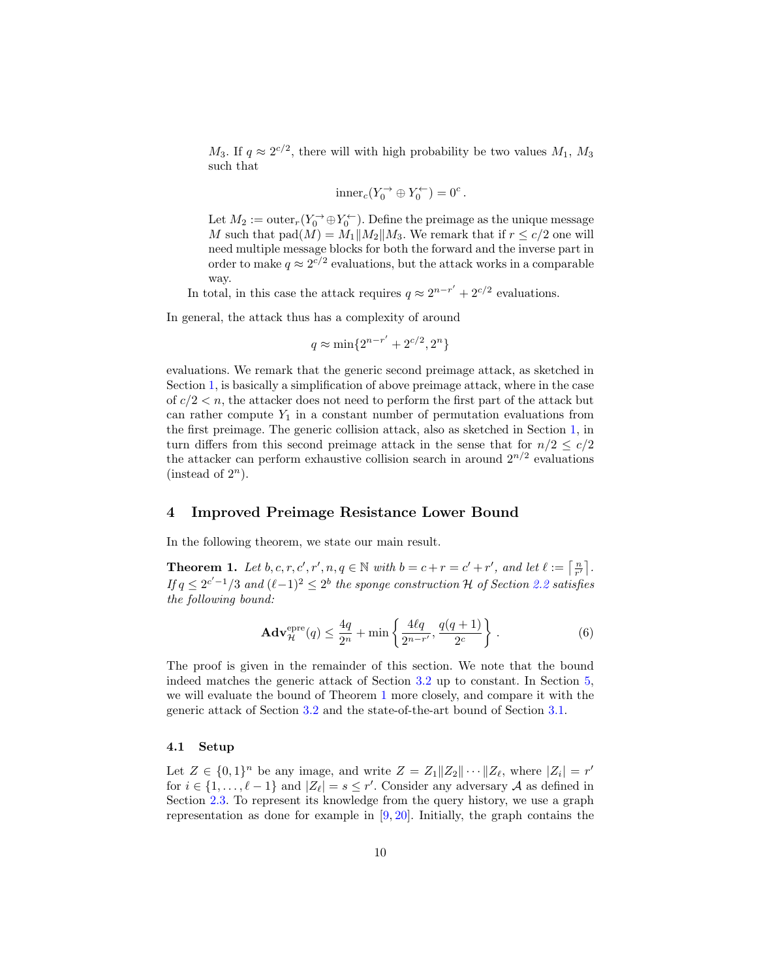$M_3$ . If  $q \approx 2^{c/2}$ , there will with high probability be two values  $M_1, M_3$ such that

$$
\mathrm{inner}_c(Y_0^{\rightarrow} \oplus Y_0^{\leftarrow}) = 0^c.
$$

Let  $M_2 := \mathrm{outer}_r(Y_0^{\rightarrow} \oplus Y_0^{\leftarrow})$ . Define the preimage as the unique message M such that  $\text{pad}(M) = M_1||M_2||M_3$ . We remark that if  $r \leq c/2$  one will need multiple message blocks for both the forward and the inverse part in order to make  $q \approx 2^{c/2}$  evaluations, but the attack works in a comparable way.

In total, in this case the attack requires  $q \approx 2^{n-r'} + 2^{c/2}$  evaluations.

In general, the attack thus has a complexity of around

$$
q \approx \min\{2^{n-r'} + 2^{c/2}, 2^n\}
$$

evaluations. We remark that the generic second preimage attack, as sketched in Section [1,](#page-0-0) is basically a simplification of above preimage attack, where in the case of  $c/2 < n$ , the attacker does not need to perform the first part of the attack but can rather compute  $Y_1$  in a constant number of permutation evaluations from the first preimage. The generic collision attack, also as sketched in Section [1,](#page-0-0) in turn differs from this second preimage attack in the sense that for  $n/2 \leq c/2$ the attacker can perform exhaustive collision search in around  $2^{n/2}$  evaluations (instead of  $2^n$ ).

# <span id="page-9-0"></span>4 Improved Preimage Resistance Lower Bound

In the following theorem, we state our main result.

<span id="page-9-1"></span>**Theorem 1.** Let b, c, r, c', r', n,  $q \in \mathbb{N}$  with  $b = c + r = c' + r'$ , and let  $\ell := \lceil \frac{n}{r'} \rceil$ . If  $q \leq 2^{c'-1}/3$  and  $(\ell-1)^2 \leq 2^b$  the sponge construction H of Section [2.2](#page-6-1) satisfies the following bound:

<span id="page-9-2"></span>
$$
\mathbf{Adv}_{\mathcal{H}}^{\text{epre}}(q) \le \frac{4q}{2^n} + \min\left\{\frac{4\ell q}{2^{n-r'}}, \frac{q(q+1)}{2^c}\right\}.
$$
 (6)

The proof is given in the remainder of this section. We note that the bound indeed matches the generic attack of Section [3.2](#page-8-0) up to constant. In Section [5,](#page-17-0) we will evaluate the bound of Theorem [1](#page-9-1) more closely, and compare it with the generic attack of Section [3.2](#page-8-0) and the state-of-the-art bound of Section [3.1.](#page-7-0)

#### 4.1 Setup

Let  $Z \in \{0,1\}^n$  be any image, and write  $Z = Z_1 || Z_2 || \cdots || Z_\ell$ , where  $|Z_i| = r'$ for  $i \in \{1, ..., \ell - 1\}$  and  $|Z_{\ell}| = s \leq r'$ . Consider any adversary A as defined in Section [2.3.](#page-6-2) To represent its knowledge from the query history, we use a graph representation as done for example in  $[9, 20]$  $[9, 20]$  $[9, 20]$ . Initially, the graph contains the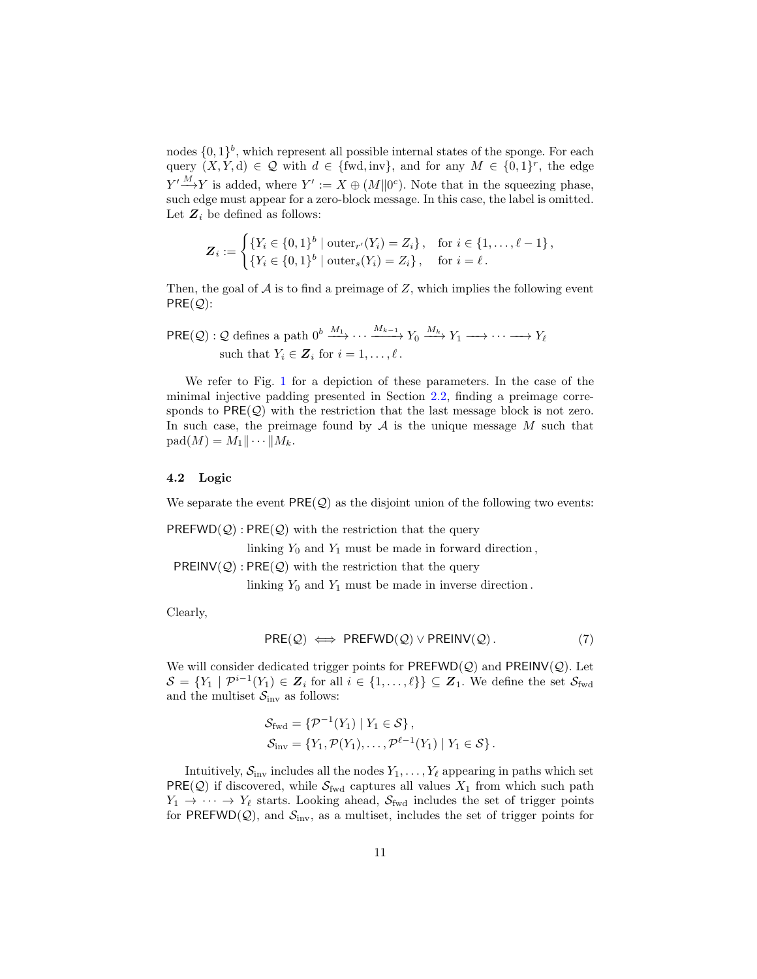nodes  $\{0,1\}^b$ , which represent all possible internal states of the sponge. For each query  $(X, Y, d) \in \mathcal{Q}$  with  $d \in \{\text{fwd}, \text{inv}\},\$  and for any  $M \in \{0, 1\}^r$ , the edge  $Y' \longrightarrow Y$  is added, where  $Y' := X \oplus (M \| 0^c)$ . Note that in the squeezing phase, such edge must appear for a zero-block message. In this case, the label is omitted. Let  $\mathbb{Z}_i$  be defined as follows:

$$
\mathbf{Z}_i := \begin{cases} \{Y_i \in \{0,1\}^b \mid \text{outer}_{r'}(Y_i) = Z_i\}, & \text{for } i \in \{1,\ldots,\ell-1\},\\ \{Y_i \in \{0,1\}^b \mid \text{outer}_s(Y_i) = Z_i\}, & \text{for } i = \ell. \end{cases}
$$

Then, the goal of  $A$  is to find a preimage of  $Z$ , which implies the following event  $PRE(Q)$ :

$$
\mathsf{PRE}(\mathcal{Q}): \mathcal{Q} \text{ defines a path } 0^b \xrightarrow{M_1} \cdots \xrightarrow{M_{k-1}} Y_0 \xrightarrow{M_k} Y_1 \longrightarrow \cdots \longrightarrow Y_\ell
$$
  
such that  $Y_i \in \mathbf{Z}_i$  for  $i = 1, \ldots, \ell$ .

We refer to Fig. [1](#page-6-0) for a depiction of these parameters. In the case of the minimal injective padding presented in Section [2.2,](#page-6-1) finding a preimage corresponds to  $PRE(Q)$  with the restriction that the last message block is not zero. In such case, the preimage found by  $A$  is the unique message  $M$  such that  $\text{pad}(M) = M_1 \|\cdots\| M_k.$ 

#### 4.2 Logic

We separate the event  $PRE(Q)$  as the disjoint union of the following two events:

 $PREFWD(Q):PRE(Q)$  with the restriction that the query

linking  $Y_0$  and  $Y_1$  must be made in forward direction,

 $PREINV(Q)$ :  $PRE(Q)$  with the restriction that the query

linking  $Y_0$  and  $Y_1$  must be made in inverse direction.

Clearly,

<span id="page-10-0"></span>
$$
PRE(Q) \iff PREFWD(Q) \lor PREINV(Q).
$$
 (7)

We will consider dedicated trigger points for  $PREFWD(Q)$  and  $PREINV(Q)$ . Let  $\mathcal{S} = \{Y_1 \mid \mathcal{P}^{i-1}(Y_1) \in \mathbf{Z}_i \text{ for all } i \in \{1,\ldots,\ell\}\} \subseteq \mathbf{Z}_1.$  We define the set  $\mathcal{S}_{\text{fwd}}$ and the multiset  $S_{\text{inv}}$  as follows:

$$
\mathcal{S}_{\text{fwd}} = \{ \mathcal{P}^{-1}(Y_1) \mid Y_1 \in \mathcal{S} \},
$$
  
\n
$$
\mathcal{S}_{\text{inv}} = \{ Y_1, \mathcal{P}(Y_1), \dots, \mathcal{P}^{\ell-1}(Y_1) \mid Y_1 \in \mathcal{S} \}.
$$

Intuitively,  $S_{\text{inv}}$  includes all the nodes  $Y_1, \ldots, Y_\ell$  appearing in paths which set  $PRE(Q)$  if discovered, while  $S_{fwd}$  captures all values  $X_1$  from which such path  $Y_1 \rightarrow \cdots \rightarrow Y_\ell$  starts. Looking ahead,  $S_{\text{fwd}}$  includes the set of trigger points for PREFWD $(Q)$ , and  $S_{\text{inv}}$ , as a multiset, includes the set of trigger points for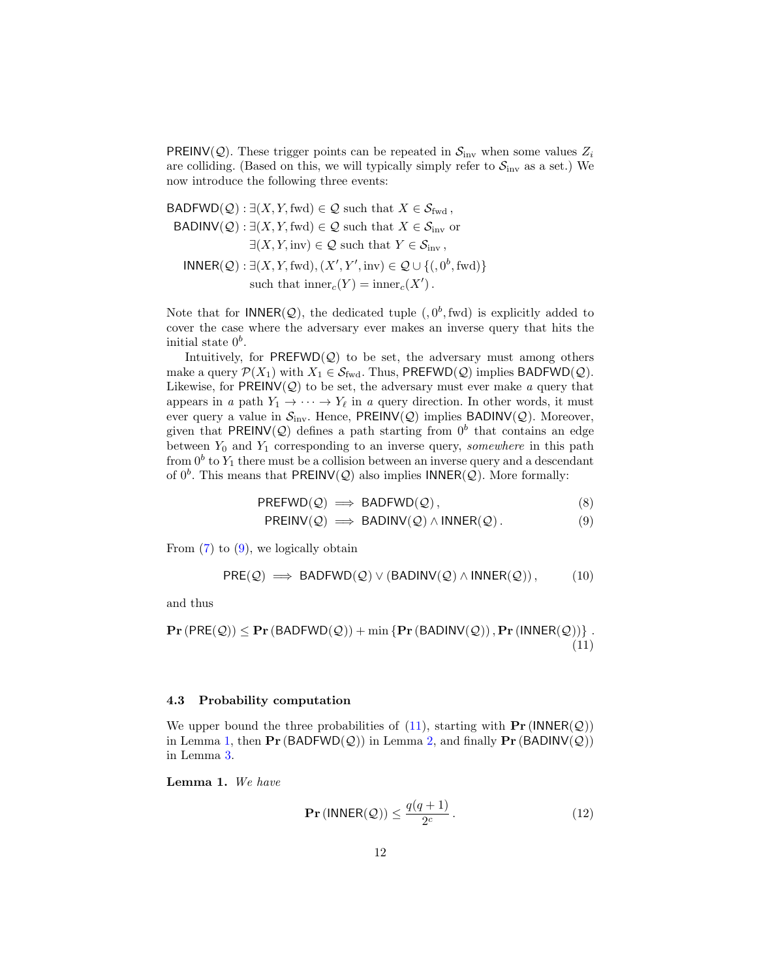**PREINV(Q).** These trigger points can be repeated in  $\mathcal{S}_{\text{inv}}$  when some values  $Z_i$ are colliding. (Based on this, we will typically simply refer to  $S_{\text{inv}}$  as a set.) We now introduce the following three events:

BADFWD $(Q)$ :  $\exists (X, Y, \text{fwd}) \in \mathcal{Q}$  such that  $X \in \mathcal{S}_{\text{fwd}}$ , BADINV(Q) :  $\exists (X, Y, \text{fwd}) \in \mathcal{Q}$  such that  $X \in \mathcal{S}_{\text{inv}}$  or  $\exists (X, Y, inv) \in \mathcal{Q}$  such that  $Y \in \mathcal{S}_{inv}$ ,  $\text{INNER}(\mathcal{Q}) : \exists (X, Y, \text{fwd}), (X', Y', \text{inv}) \in \mathcal{Q} \cup \{ (0^b, \text{fwd}) \}$ such that  $\mathrm{inner}_c(Y) = \mathrm{inner}_c(X')$ .

Note that for  $\mathsf{INNER}(\mathcal{Q})$ , the dedicated tuple  $(0,0^b,\text{fwd})$  is explicitly added to cover the case where the adversary ever makes an inverse query that hits the initial state  $0<sup>b</sup>$ .

Intuitively, for  $PREFWD(Q)$  to be set, the adversary must among others make a query  $\mathcal{P}(X_1)$  with  $X_1 \in \mathcal{S}_{fwd}$ . Thus, PREFWD( $\mathcal{Q}$ ) implies BADFWD( $\mathcal{Q}$ ). Likewise, for  $PREINV(Q)$  to be set, the adversary must ever make a query that appears in a path  $Y_1 \rightarrow \cdots \rightarrow Y_\ell$  in a query direction. In other words, it must ever query a value in  $S_{\text{inv}}$ . Hence, PREINV(Q) implies BADINV(Q). Moreover, given that PREINV(Q) defines a path starting from  $0^b$  that contains an edge between  $Y_0$  and  $Y_1$  corresponding to an inverse query, somewhere in this path from  $0^b$  to  $Y_1$  there must be a collision between an inverse query and a descendant of  $0^b$ . This means that PREINV(Q) also implies INNER(Q). More formally:

$$
PREFWD(\mathcal{Q})\implies BADFWD(\mathcal{Q}),\tag{8}
$$

<span id="page-11-0"></span>
$$
PREINV(\mathcal{Q}) \implies BADINV(\mathcal{Q}) \land INNER(\mathcal{Q}). \tag{9}
$$

From  $(7)$  to  $(9)$ , we logically obtain

$$
PRE(Q) \implies BADFWD(Q) \vee (BADINV(Q) \wedge INNER(Q)), \tag{10}
$$

and thus

$$
\mathbf{Pr}\left(\mathsf{PRE}(\mathcal{Q})\right) \leq \mathbf{Pr}\left(\mathsf{BADFWD}(\mathcal{Q})\right) + \min\left\{\mathbf{Pr}\left(\mathsf{BADINV}(\mathcal{Q})\right), \mathbf{Pr}\left(\mathsf{INNER}(\mathcal{Q})\right)\right\}.\tag{11}
$$

#### 4.3 Probability computation

We upper bound the three probabilities of [\(11\)](#page-11-1), starting with  $\Pr(\text{INNER}(\mathcal{Q}))$ in Lemma [1,](#page-11-2) then  $\Pr(\text{BADFWD}(\mathcal{Q}))$  in Lemma [2,](#page-12-0) and finally  $\Pr(\text{BADINV}(\mathcal{Q}))$ in Lemma [3.](#page-14-0)

<span id="page-11-2"></span>Lemma 1. We have

<span id="page-11-1"></span>
$$
\mathbf{Pr}\left(\mathsf{INNER}(\mathcal{Q})\right) \le \frac{q(q+1)}{2^c} \,. \tag{12}
$$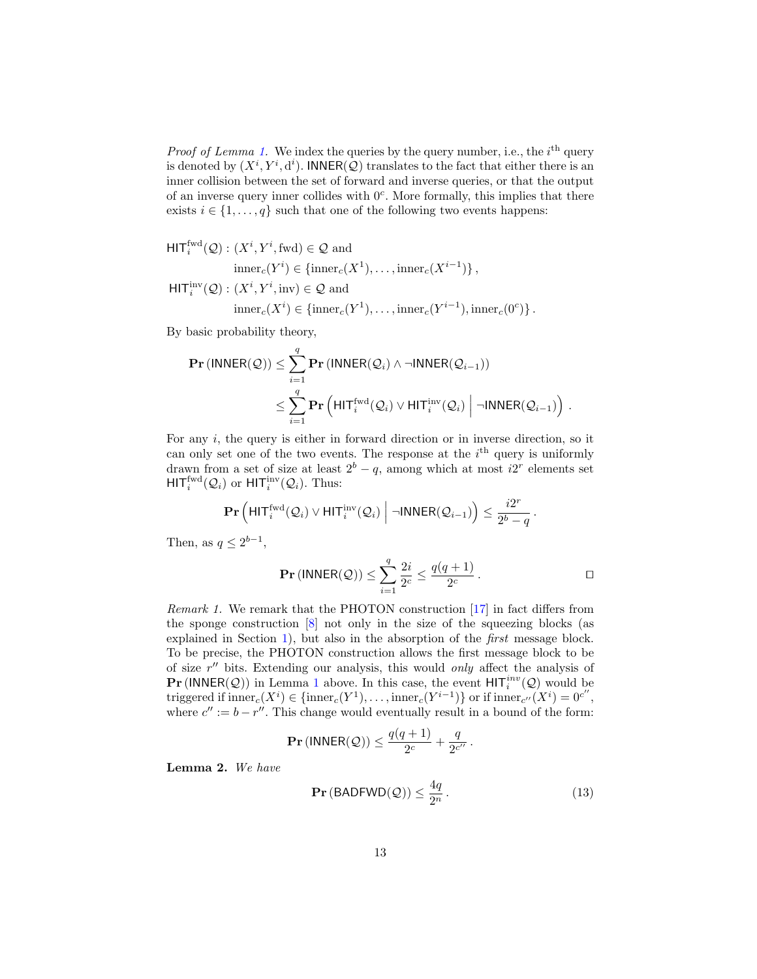*Proof of Lemma [1.](#page-11-2)* We index the queries by the query number, i.e., the  $i<sup>th</sup>$  query is denoted by  $(X^i, Y^i, d^i)$ . INNER $(Q)$  translates to the fact that either there is an inner collision between the set of forward and inverse queries, or that the output of an inverse query inner collides with  $0<sup>c</sup>$ . More formally, this implies that there exists  $i \in \{1, \ldots, q\}$  such that one of the following two events happens:

 $\text{HIT}_i^{\text{fwd}}(\mathcal{Q}): (X^i, Y^i, \text{fwd}) \in \mathcal{Q}$  and  $\text{inner}_c(Y^i) \in \{\text{inner}_c(X^1), \dots, \text{inner}_c(X^{i-1})\},\$  $\mathsf{HIT}^{\text{inv}}_i(\mathcal{Q}): (X^i, Y^i, \text{inv}) \in \mathcal{Q}$  and

$$
inner_c(X^i) \in {inner_c(Y^1), \ldots, inner_c(Y^{i-1}), inner_c(0^c)}.
$$

By basic probability theory,

$$
\begin{aligned} \mathbf{Pr}\left(\mathsf{INNER}(\mathcal{Q})\right) &\leq \sum_{i=1}^{q} \mathbf{Pr}\left(\mathsf{INNER}(\mathcal{Q}_i) \land \neg \mathsf{INNER}(\mathcal{Q}_{i-1})\right) \\ &\leq \sum_{i=1}^{q} \mathbf{Pr}\left(\mathsf{HIT}_i^{\mathrm{fwd}}(\mathcal{Q}_i) \lor \mathsf{HIT}_i^{\mathrm{inv}}(\mathcal{Q}_i) \middle| \neg \mathsf{INNER}(\mathcal{Q}_{i-1})\right) \end{aligned}
$$

For any  $i$ , the query is either in forward direction or in inverse direction, so it can only set one of the two events. The response at the  $i<sup>th</sup>$  query is uniformly drawn from a set of size at least  $2^b - q$ , among which at most  $i2^r$  elements set  $\mathsf{HIT}_i^{\text{fwd}}(\mathcal{Q}_i)$  or  $\mathsf{HIT}_i^{\text{inv}}(\mathcal{Q}_i)$ . Thus:

$$
\mathbf{Pr}\left(\mathsf{HIT}_{i}^{\mathrm{fwd}}(\mathcal{Q}_{i})\lor\mathsf{HIT}_{i}^{\mathrm{inv}}(\mathcal{Q}_{i})\;\middle|\;\neg\mathsf{INNER}(\mathcal{Q}_{i-1})\right) \leq \frac{i2^{r}}{2^{b}-q}.
$$

Then, as  $q \leq 2^{b-1}$ ,

$$
\mathbf{Pr}(\mathsf{INNER}(\mathcal{Q})) \leq \sum_{i=1}^{q} \frac{2i}{2^c} \leq \frac{q(q+1)}{2^c}.
$$

.

Remark 1. We remark that the PHOTON construction [\[17\]](#page-20-1) in fact differs from the sponge construction  $[8]$  not only in the size of the squeezing blocks (as explained in Section [1\)](#page-0-0), but also in the absorption of the first message block. To be precise, the PHOTON construction allows the first message block to be of size  $r''$  bits. Extending our analysis, this would only affect the analysis of **Pr** (INNER(Q)) in Lemma [1](#page-11-2) above. In this case, the event  $HIT_i^{inv}(Q)$  would be triggered if  $\text{inner}_c(X^i) \in \{\text{inner}_c(Y^1), \ldots, \text{inner}_c(Y^{i-1})\}$  or if  $\text{inner}_{c''}(X^i) = 0^{c''},$ where  $c'' := b - r''$ . This change would eventually result in a bound of the form:

$$
\mathbf{Pr}(\mathsf{INNER}(\mathcal{Q})) \leq \frac{q(q+1)}{2^c} + \frac{q}{2^{c''}}.
$$

Lemma 2. We have

<span id="page-12-0"></span>
$$
\mathbf{Pr}\left(\mathsf{BADFWD}(\mathcal{Q})\right) \le \frac{4q}{2^n} \,. \tag{13}
$$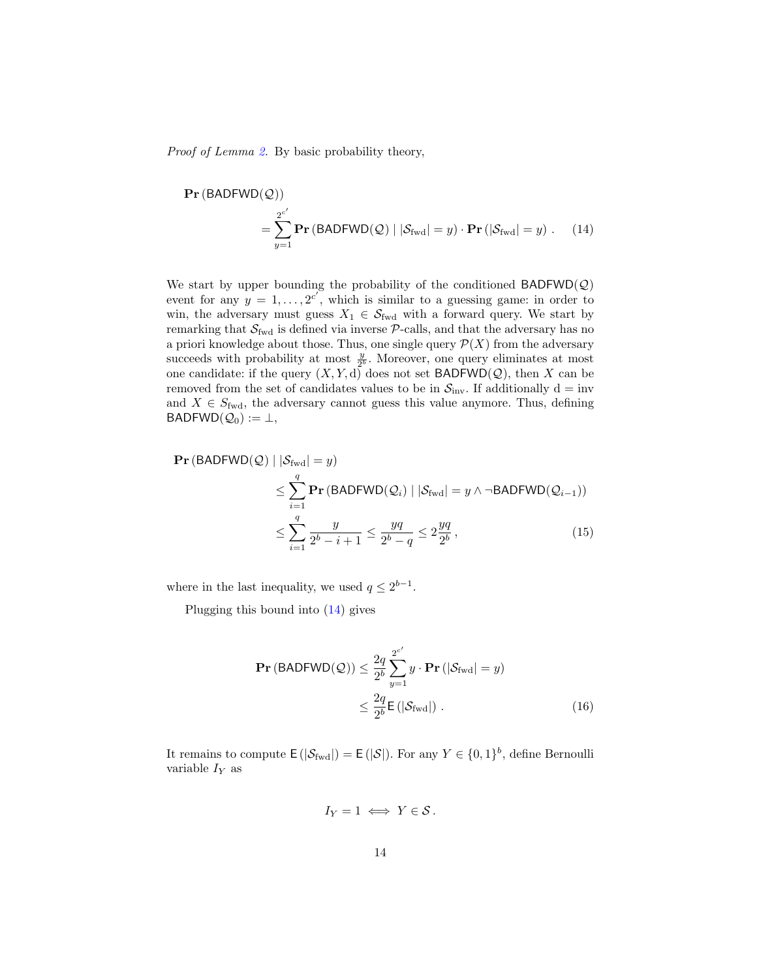Proof of Lemma [2.](#page-12-0) By basic probability theory,

<span id="page-13-0"></span>
$$
\mathbf{Pr}(\text{BADFWD}(\mathcal{Q}))
$$
  
=  $\sum_{y=1}^{2^{c'}} \mathbf{Pr}(\text{BADFWD}(\mathcal{Q}) | |\mathcal{S}_{\text{fwd}}| = y) \cdot \mathbf{Pr}(|\mathcal{S}_{\text{fwd}}| = y)$ . (14)

We start by upper bounding the probability of the conditioned  $BADFWD(Q)$ event for any  $y = 1, \ldots, 2^{c'}$ , which is similar to a guessing game: in order to win, the adversary must guess  $X_1 \in \mathcal{S}_{\text{fwd}}$  with a forward query. We start by remarking that  $S_{fwd}$  is defined via inverse  $P$ -calls, and that the adversary has no a priori knowledge about those. Thus, one single query  $\mathcal{P}(X)$  from the adversary succeeds with probability at most  $\frac{y}{2^b}$ . Moreover, one query eliminates at most one candidate: if the query  $(X, Y, d)$  does not set BADFWD $(Q)$ , then X can be removed from the set of candidates values to be in  $S_{\text{inv}}$ . If additionally d = inv and  $X \in S_{\text{fwd}}$ , the adversary cannot guess this value anymore. Thus, defining  $BADFWD(Q_0) := \perp,$ 

$$
\begin{aligned} \Pr\left(\text{BADFWD}(\mathcal{Q}) \mid |\mathcal{S}_{\text{fwd}}| = y\right) \\ &\leq \sum_{i=1}^{q} \Pr\left(\text{BADFWD}(\mathcal{Q}_i) \mid |\mathcal{S}_{\text{fwd}}| = y \land \neg \text{BADFWD}(\mathcal{Q}_{i-1})\right) \\ &\leq \sum_{i=1}^{q} \frac{y}{2^b - i + 1} \leq \frac{yq}{2^b - q} \leq 2\frac{yq}{2^b} \,, \end{aligned} \tag{15}
$$

where in the last inequality, we used  $q \leq 2^{b-1}$ .

Plugging this bound into [\(14\)](#page-13-0) gives

$$
\begin{aligned} \mathbf{Pr} \left( \text{BADFWD}(\mathcal{Q}) \right) &\leq \frac{2q}{2^b} \sum_{y=1}^{2^{c'}} y \cdot \mathbf{Pr} \left( |\mathcal{S}_{\text{fwd}}| = y \right) \\ &\leq \frac{2q}{2^b} \mathsf{E} \left( |\mathcal{S}_{\text{fwd}}| \right) \,. \end{aligned} \tag{16}
$$

It remains to compute  $\mathsf{E}(|\mathcal{S}_{\text{fwd}}|) = \mathsf{E}(|\mathcal{S}|)$ . For any  $Y \in \{0,1\}^b$ , define Bernoulli variable  $I_Y$  as

<span id="page-13-1"></span>
$$
I_Y=1 \iff Y \in \mathcal{S}.
$$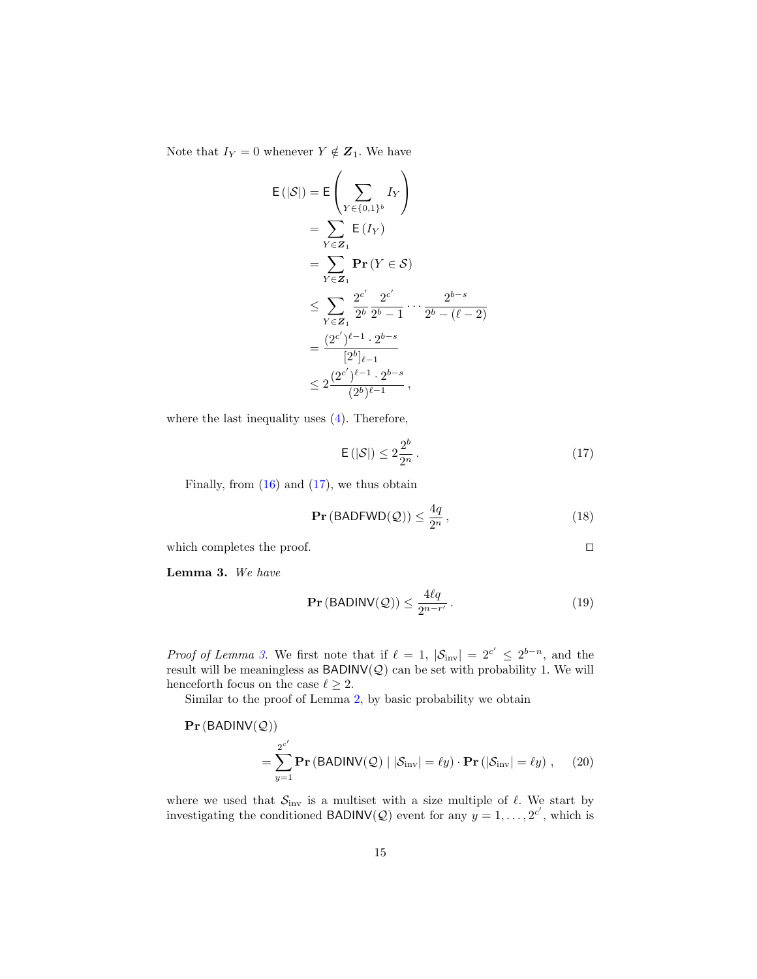Note that  $I_Y = 0$  whenever  $Y \notin \mathbf{Z}_1$ . We have

$$
E(|S|) = E\left(\sum_{Y \in \{0,1\}^b} I_Y\right)
$$
  
=  $\sum_{Y \in \mathbb{Z}_1} E(I_Y)$   
=  $\sum_{Y \in \mathbb{Z}_1} Pr(Y \in S)$   
 $\leq \sum_{Y \in \mathbb{Z}_1} \frac{2^{c'}}{2^b} \frac{2^{c'}}{2^b - 1} \cdots \frac{2^{b-s}}{2^b - (\ell - 2)}$   
=  $\frac{(2^{c'})^{\ell-1} \cdot 2^{b-s}}{[2^b]_{\ell-1}}$   
 $\leq 2 \frac{(2^{c'})^{\ell-1} \cdot 2^{b-s}}{(2^b)^{\ell-1}},$ 

where the last inequality uses  $(4)$ . Therefore,

<span id="page-14-1"></span>
$$
\mathsf{E}\left(|\mathcal{S}|\right) \le 2\frac{2^b}{2^n} \,. \tag{17}
$$

Finally, from  $(16)$  and  $(17)$ , we thus obtain

$$
\mathbf{Pr}\left(\mathsf{BADFWD}(\mathcal{Q})\right) \le \frac{4q}{2^n},\tag{18}
$$

which completes the proof.  $\Box$ 

Lemma 3. We have

<span id="page-14-2"></span><span id="page-14-0"></span>
$$
\mathbf{Pr}\left(\text{BADINV}(\mathcal{Q})\right) \le \frac{4\ell q}{2^{n-r'}}\,. \tag{19}
$$

*Proof of Lemma [3.](#page-14-0)* We first note that if  $\ell = 1$ ,  $|\mathcal{S}_{inv}| = 2^{c'} \le 2^{b-n}$ , and the result will be meaningless as  $BADINV(Q)$  can be set with probability 1. We will henceforth focus on the case  $\ell \geq 2$ .

Similar to the proof of Lemma [2,](#page-12-0) by basic probability we obtain

$$
\mathbf{Pr}(\text{BADINV}(\mathcal{Q}))
$$
  
=  $\sum_{y=1}^{2^{c'}} \mathbf{Pr}(\text{BADINV}(\mathcal{Q}) | |\mathcal{S}_{\text{inv}}| = \ell y) \cdot \mathbf{Pr}(|\mathcal{S}_{\text{inv}}| = \ell y)$ , (20)

where we used that  $S_{\text{inv}}$  is a multiset with a size multiple of  $\ell$ . We start by investigating the conditioned BADINV(Q) event for any  $y = 1, \ldots, 2^{c'}$ , which is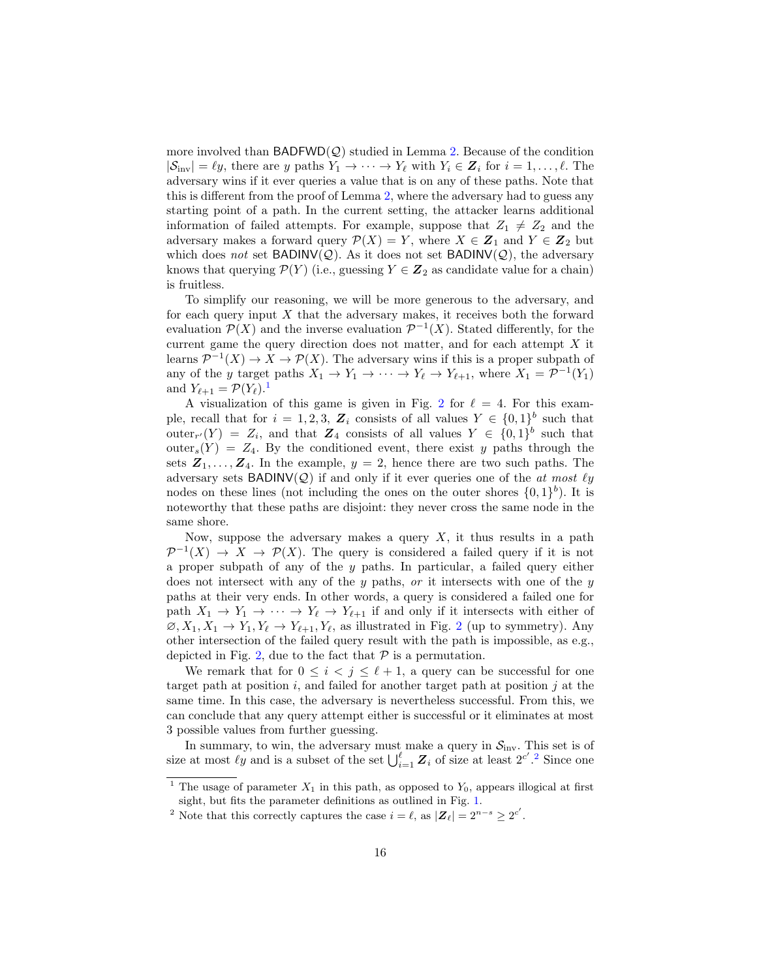more involved than  $BADFWD(Q)$  studied in Lemma [2.](#page-12-0) Because of the condition  $|\mathcal{S}_{\text{inv}}| = \ell y$ , there are y paths  $Y_1 \to \cdots \to Y_\ell$  with  $Y_i \in \mathbf{Z}_i$  for  $i = 1, \ldots, \ell$ . The adversary wins if it ever queries a value that is on any of these paths. Note that this is different from the proof of Lemma [2,](#page-12-0) where the adversary had to guess any starting point of a path. In the current setting, the attacker learns additional information of failed attempts. For example, suppose that  $Z_1 \neq Z_2$  and the adversary makes a forward query  $\mathcal{P}(X) = Y$ , where  $X \in \mathbb{Z}_1$  and  $Y \in \mathbb{Z}_2$  but which does not set BADINV( $Q$ ). As it does not set BADINV( $Q$ ), the adversary knows that querying  $\mathcal{P}(Y)$  (i.e., guessing  $Y \in \mathbb{Z}_2$  as candidate value for a chain) is fruitless.

To simplify our reasoning, we will be more generous to the adversary, and for each query input  $X$  that the adversary makes, it receives both the forward evaluation  $\mathcal{P}(X)$  and the inverse evaluation  $\mathcal{P}^{-1}(X)$ . Stated differently, for the current game the query direction does not matter, and for each attempt  $X$  it learns  $\mathcal{P}^{-1}(X) \to X \to \mathcal{P}(X)$ . The adversary wins if this is a proper subpath of any of the y target paths  $X_1 \to Y_1 \to \cdots \to Y_\ell \to Y_{\ell+1}$ , where  $X_1 = \mathcal{P}^{-1}(Y_1)$ and  $Y_{\ell+1} = \mathcal{P}(Y_{\ell}).^1$  $Y_{\ell+1} = \mathcal{P}(Y_{\ell}).^1$  $Y_{\ell+1} = \mathcal{P}(Y_{\ell}).^1$ 

A visualization of this game is given in Fig. [2](#page-17-1) for  $\ell = 4$ . For this example, recall that for  $i = 1, 2, 3, Z_i$  consists of all values  $Y \in \{0, 1\}^b$  such that outer<sub>r'</sub>(Y) =  $Z_i$ , and that  $Z_4$  consists of all values  $Y \in \{0,1\}^b$  such that outer<sub>s</sub> $(Y) = Z_4$ . By the conditioned event, there exist y paths through the sets  $\mathbf{Z}_1, \ldots, \mathbf{Z}_4$ . In the example,  $y = 2$ , hence there are two such paths. The adversary sets BADINV( $Q$ ) if and only if it ever queries one of the *at most*  $\ell y$ nodes on these lines (not including the ones on the outer shores  $\{0,1\}^b$ ). It is noteworthy that these paths are disjoint: they never cross the same node in the same shore.

Now, suppose the adversary makes a query  $X$ , it thus results in a path  $\mathcal{P}^{-1}(X) \to X \to \mathcal{P}(X)$ . The query is considered a failed query if it is not a proper subpath of any of the  $y$  paths. In particular, a failed query either does not intersect with any of the y paths, or it intersects with one of the y paths at their very ends. In other words, a query is considered a failed one for path  $X_1 \to Y_1 \to \cdots \to Y_\ell \to Y_{\ell+1}$  if and only if it intersects with either of  $\varnothing, X_1, X_1 \to Y_1, Y_\ell \to Y_{\ell+1}, Y_\ell$ , as illustrated in Fig. [2](#page-17-1) (up to symmetry). Any other intersection of the failed query result with the path is impossible, as e.g., depicted in Fig. [2,](#page-17-1) due to the fact that  $P$  is a permutation.

We remark that for  $0 \leq i \leq j \leq \ell + 1$ , a query can be successful for one target path at position  $i$ , and failed for another target path at position  $j$  at the same time. In this case, the adversary is nevertheless successful. From this, we can conclude that any query attempt either is successful or it eliminates at most 3 possible values from further guessing.

In summary, to win, the adversary must make a query in  $S_{\text{inv}}$ . This set is of size at most  $\ell y$  and is a subset of the set  $\bigcup_{i=1}^{\ell} Z_i$  of size at least  $2^{c'}$  $2^{c'}$ . Since one

<span id="page-15-0"></span><sup>&</sup>lt;sup>1</sup> The usage of parameter  $X_1$  in this path, as opposed to  $Y_0$ , appears illogical at first sight, but fits the parameter definitions as outlined in Fig. [1.](#page-6-0)

<span id="page-15-1"></span><sup>&</sup>lt;sup>2</sup> Note that this correctly captures the case  $i = \ell$ , as  $|\mathbf{Z}_{\ell}| = 2^{n-s} \geq 2^{c'}$ .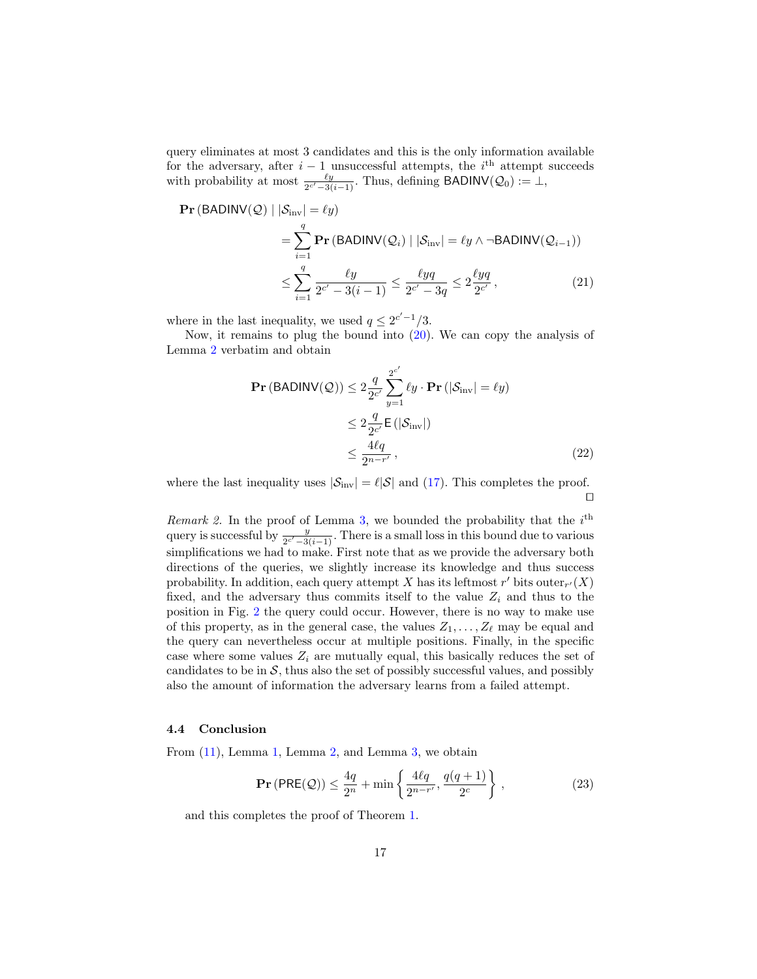query eliminates at most 3 candidates and this is the only information available for the adversary, after  $i-1$  unsuccessful attempts, the  $i<sup>th</sup>$  attempt succeeds with probability at most  $\frac{\ell y}{2^{c'}-3(i-1)}$ . Thus, defining BADINV( $\mathcal{Q}_0$ ) := ⊥,

$$
\begin{split} \mathbf{Pr}\left(\mathsf{BADINV}(\mathcal{Q}) \mid |\mathcal{S}_{\text{inv}}| = \ell y\right) \\ &= \sum_{i=1}^{q} \mathbf{Pr}\left(\mathsf{BADINV}(\mathcal{Q}_i) \mid |\mathcal{S}_{\text{inv}}| = \ell y \land \neg \mathsf{BADINV}(\mathcal{Q}_{i-1})\right) \\ &\le \sum_{i=1}^{q} \frac{\ell y}{2^{c'} - 3(i-1)} \le \frac{\ell yq}{2^{c'} - 3q} \le 2 \frac{\ell yq}{2^{c'}}, \end{split} \tag{21}
$$

where in the last inequality, we used  $q \leq 2^{c'-1}/3$ .

Now, it remains to plug the bound into [\(20\)](#page-14-2). We can copy the analysis of Lemma [2](#page-12-0) verbatim and obtain

$$
\begin{split} \mathbf{Pr} \left( \text{BADINV}(\mathcal{Q}) \right) &\leq 2 \frac{q}{2^{c'}} \sum_{y=1}^{2^{c'}} \ell y \cdot \mathbf{Pr} \left( |\mathcal{S}_{\text{inv}}| = \ell y \right) \\ &\leq 2 \frac{q}{2^{c'}} \mathsf{E} \left( |\mathcal{S}_{\text{inv}}| \right) \\ &\leq \frac{4\ell q}{2^{n-r'}} \,, \end{split} \tag{22}
$$

where the last inequality uses  $|\mathcal{S}_{inv}| = \ell |\mathcal{S}|$  and [\(17\)](#page-14-1). This completes the proof.  $\Box$ 

Remark 2. In the proof of Lemma [3,](#page-14-0) we bounded the probability that the  $i^{\text{th}}$ query is successful by  $\frac{y}{2^{c'}-3(i-1)}$ . There is a small loss in this bound due to various simplifications we had to make. First note that as we provide the adversary both directions of the queries, we slightly increase its knowledge and thus success probability. In addition, each query attempt X has its leftmost  $r'$  bits outer $r'(X)$ fixed, and the adversary thus commits itself to the value  $Z_i$  and thus to the position in Fig. [2](#page-17-1) the query could occur. However, there is no way to make use of this property, as in the general case, the values  $Z_1, \ldots, Z_\ell$  may be equal and the query can nevertheless occur at multiple positions. Finally, in the specific case where some values  $Z_i$  are mutually equal, this basically reduces the set of candidates to be in  $S$ , thus also the set of possibly successful values, and possibly also the amount of information the adversary learns from a failed attempt.

#### 4.4 Conclusion

From [\(11\)](#page-11-1), Lemma [1,](#page-11-2) Lemma [2,](#page-12-0) and Lemma [3,](#page-14-0) we obtain

$$
\mathbf{Pr}\left(\mathsf{PRE}(\mathcal{Q})\right) \le \frac{4q}{2^n} + \min\left\{\frac{4\ell q}{2^{n-r'}}, \frac{q(q+1)}{2^c}\right\},\tag{23}
$$

and this completes the proof of Theorem [1.](#page-9-1)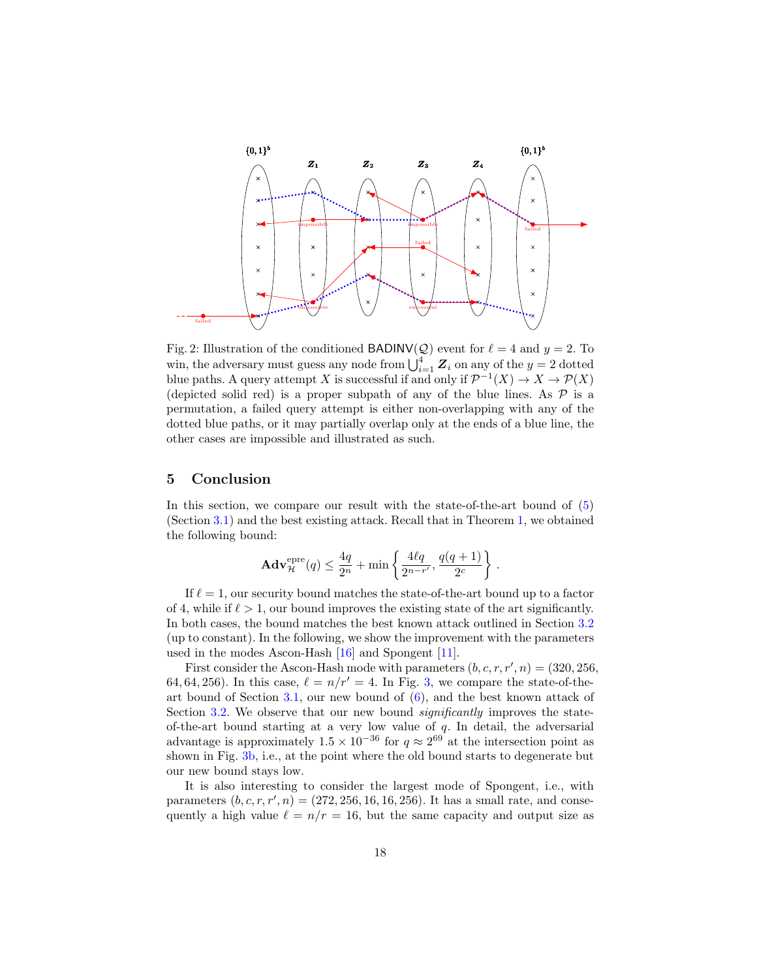<span id="page-17-1"></span>

Fig. 2: Illustration of the conditioned BADINV(Q) event for  $\ell = 4$  and  $y = 2$ . To win, the adversary must guess any node from  $\bigcup_{i=1}^{4} Z_i$  on any of the  $y = 2$  dotted blue paths. A query attempt X is successful if and only if  $\mathcal{P}^{-1}(X) \to X \to \mathcal{P}(X)$ (depicted solid red) is a proper subpath of any of the blue lines. As  $\mathcal P$  is a permutation, a failed query attempt is either non-overlapping with any of the dotted blue paths, or it may partially overlap only at the ends of a blue line, the other cases are impossible and illustrated as such.

# <span id="page-17-0"></span>5 Conclusion

In this section, we compare our result with the state-of-the-art bound of [\(5\)](#page-8-1) (Section [3.1\)](#page-7-0) and the best existing attack. Recall that in Theorem [1,](#page-9-1) we obtained the following bound:

$$
\mathbf{Adv}_{\mathcal{H}}^{\text{epre}}(q) \le \frac{4q}{2^n} + \min\left\{\frac{4\ell q}{2^{n-r'}}, \frac{q(q+1)}{2^c}\right\}.
$$

If  $\ell = 1$ , our security bound matches the state-of-the-art bound up to a factor of 4, while if  $\ell > 1$ , our bound improves the existing state of the art significantly. In both cases, the bound matches the best known attack outlined in Section [3.2](#page-8-0) (up to constant). In the following, we show the improvement with the parameters used in the modes Ascon-Hash [\[16\]](#page-20-6) and Spongent [\[11\]](#page-20-3).

First consider the Ascon-Hash mode with parameters  $(b, c, r, r', n) = (320, 256,$ 64, 64, 256). In this case,  $\ell = n/r' = 4$ . In Fig. [3,](#page-18-0) we compare the state-of-the-art bound of Section [3.1,](#page-7-0) our new bound of  $(6)$ , and the best known attack of Section [3.2.](#page-8-0) We observe that our new bound *significantly* improves the stateof-the-art bound starting at a very low value of  $q$ . In detail, the adversarial advantage is approximately  $1.5 \times 10^{-36}$  for  $q \approx 2^{69}$  at the intersection point as shown in Fig. [3b,](#page-18-0) i.e., at the point where the old bound starts to degenerate but our new bound stays low.

It is also interesting to consider the largest mode of Spongent, i.e., with parameters  $(b, c, r, r', n) = (272, 256, 16, 16, 256)$ . It has a small rate, and consequently a high value  $\ell = n/r = 16$ , but the same capacity and output size as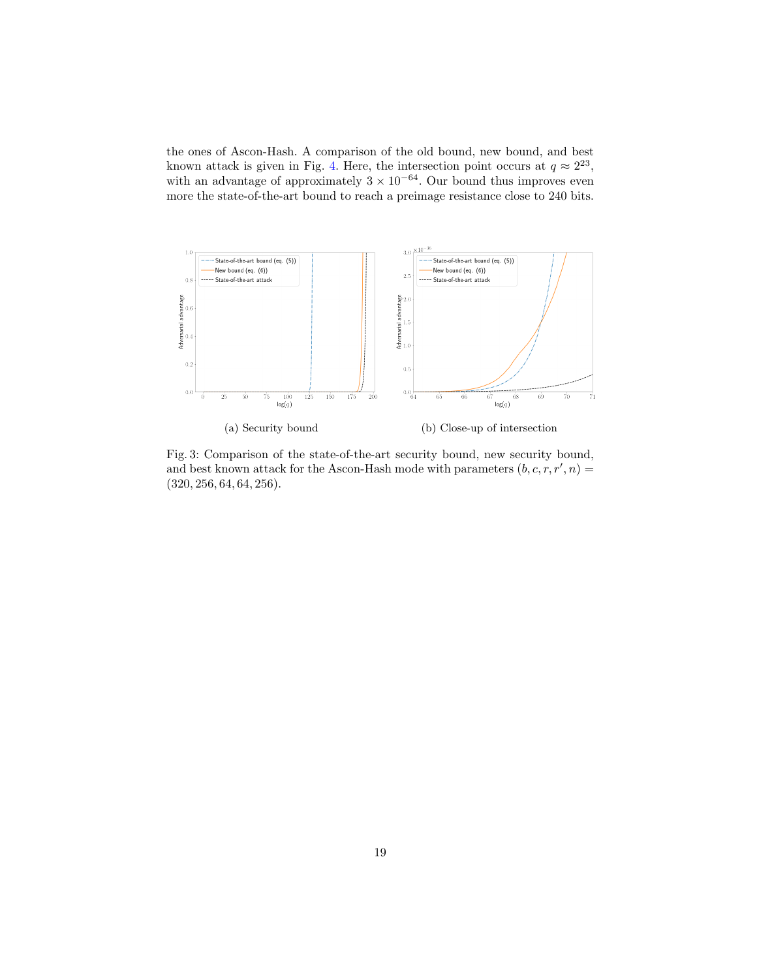the ones of Ascon-Hash. A comparison of the old bound, new bound, and best known attack is given in Fig. [4.](#page-19-4) Here, the intersection point occurs at  $q \approx 2^{23}$ , with an advantage of approximately  $3 \times 10^{-64}$ . Our bound thus improves even more the state-of-the-art bound to reach a preimage resistance close to 240 bits.

<span id="page-18-0"></span>

Fig. 3: Comparison of the state-of-the-art security bound, new security bound, and best known attack for the Ascon-Hash mode with parameters  $(b, c, r, r', n) =$ (320, 256, 64, 64, 256).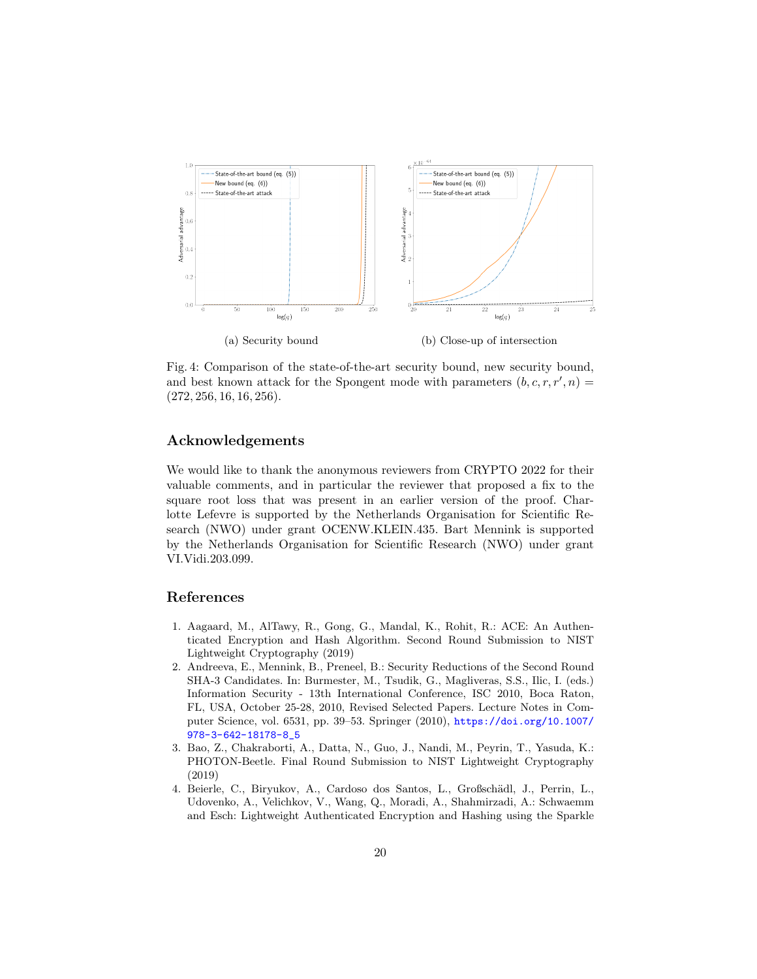<span id="page-19-4"></span>

Fig. 4: Comparison of the state-of-the-art security bound, new security bound, and best known attack for the Spongent mode with parameters  $(b, c, r, r', n) =$  $(272, 256, 16, 16, 256).$ 

# Acknowledgements

We would like to thank the anonymous reviewers from CRYPTO 2022 for their valuable comments, and in particular the reviewer that proposed a fix to the square root loss that was present in an earlier version of the proof. Charlotte Lefevre is supported by the Netherlands Organisation for Scientific Research (NWO) under grant OCENW.KLEIN.435. Bart Mennink is supported by the Netherlands Organisation for Scientific Research (NWO) under grant VI.Vidi.203.099.

## References

- <span id="page-19-1"></span>1. Aagaard, M., AlTawy, R., Gong, G., Mandal, K., Rohit, R.: ACE: An Authenticated Encryption and Hash Algorithm. Second Round Submission to NIST Lightweight Cryptography (2019)
- <span id="page-19-0"></span>2. Andreeva, E., Mennink, B., Preneel, B.: Security Reductions of the Second Round SHA-3 Candidates. In: Burmester, M., Tsudik, G., Magliveras, S.S., Ilic, I. (eds.) Information Security - 13th International Conference, ISC 2010, Boca Raton, FL, USA, October 25-28, 2010, Revised Selected Papers. Lecture Notes in Computer Science, vol. 6531, pp. 39–53. Springer (2010), [https://doi.org/10.1007/](https://doi.org/10.1007/978-3-642-18178-8_5) [978-3-642-18178-8\\_5](https://doi.org/10.1007/978-3-642-18178-8_5)
- <span id="page-19-2"></span>3. Bao, Z., Chakraborti, A., Datta, N., Guo, J., Nandi, M., Peyrin, T., Yasuda, K.: PHOTON-Beetle. Final Round Submission to NIST Lightweight Cryptography (2019)
- <span id="page-19-3"></span>4. Beierle, C., Biryukov, A., Cardoso dos Santos, L., Großschädl, J., Perrin, L., Udovenko, A., Velichkov, V., Wang, Q., Moradi, A., Shahmirzadi, A.: Schwaemm and Esch: Lightweight Authenticated Encryption and Hashing using the Sparkle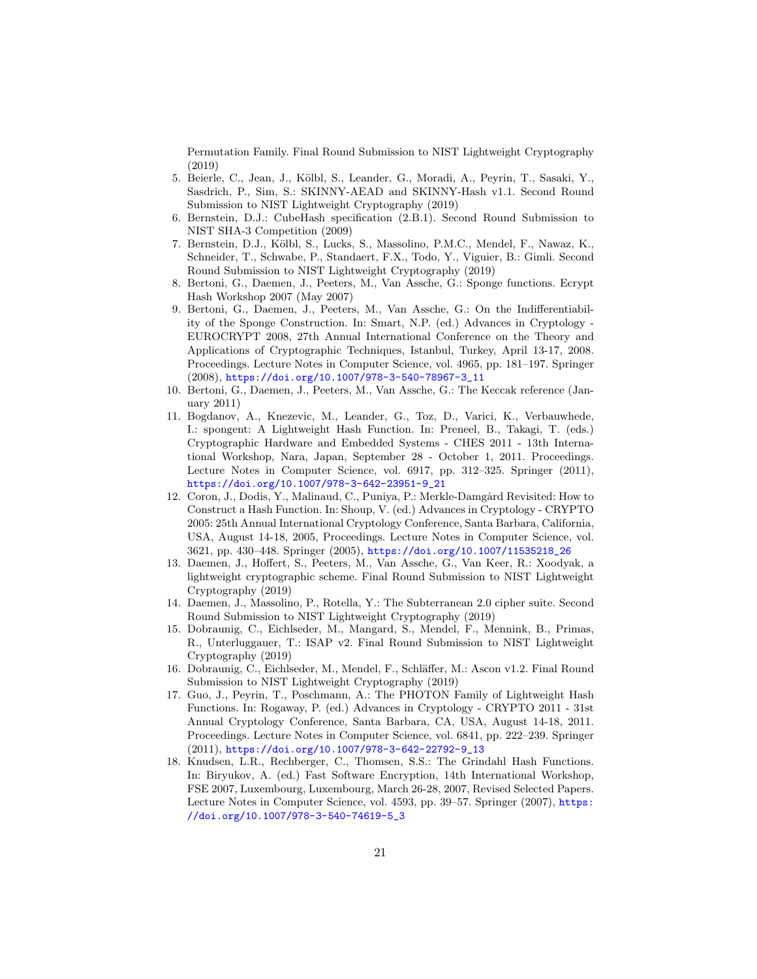Permutation Family. Final Round Submission to NIST Lightweight Cryptography (2019)

- <span id="page-20-7"></span>5. Beierle, C., Jean, J., Kölbl, S., Leander, G., Moradi, A., Peyrin, T., Sasaki, Y., Sasdrich, P., Sim, S.: SKINNY-AEAD and SKINNY-Hash v1.1. Second Round Submission to NIST Lightweight Cryptography (2019)
- <span id="page-20-11"></span>6. Bernstein, D.J.: CubeHash specification (2.B.1). Second Round Submission to NIST SHA-3 Competition (2009)
- <span id="page-20-12"></span>7. Bernstein, D.J., Kölbl, S., Lucks, S., Massolino, P.M.C., Mendel, F., Nawaz, K., Schneider, T., Schwabe, P., Standaert, F.X., Todo, Y., Viguier, B.: Gimli. Second Round Submission to NIST Lightweight Cryptography (2019)
- <span id="page-20-0"></span>8. Bertoni, G., Daemen, J., Peeters, M., Van Assche, G.: Sponge functions. Ecrypt Hash Workshop 2007 (May 2007)
- <span id="page-20-4"></span>9. Bertoni, G., Daemen, J., Peeters, M., Van Assche, G.: On the Indifferentiability of the Sponge Construction. In: Smart, N.P. (ed.) Advances in Cryptology - EUROCRYPT 2008, 27th Annual International Conference on the Theory and Applications of Cryptographic Techniques, Istanbul, Turkey, April 13-17, 2008. Proceedings. Lecture Notes in Computer Science, vol. 4965, pp. 181–197. Springer (2008), [https://doi.org/10.1007/978-3-540-78967-3\\_11](https://doi.org/10.1007/978-3-540-78967-3_11)
- <span id="page-20-2"></span>10. Bertoni, G., Daemen, J., Peeters, M., Van Assche, G.: The Keccak reference (January 2011)
- <span id="page-20-3"></span>11. Bogdanov, A., Knezevic, M., Leander, G., Toz, D., Varici, K., Verbauwhede, I.: spongent: A Lightweight Hash Function. In: Preneel, B., Takagi, T. (eds.) Cryptographic Hardware and Embedded Systems - CHES 2011 - 13th International Workshop, Nara, Japan, September 28 - October 1, 2011. Proceedings. Lecture Notes in Computer Science, vol. 6917, pp. 312–325. Springer (2011), [https://doi.org/10.1007/978-3-642-23951-9\\_21](https://doi.org/10.1007/978-3-642-23951-9_21)
- <span id="page-20-5"></span>12. Coron, J., Dodis, Y., Malinaud, C., Puniya, P.: Merkle-Damgård Revisited: How to Construct a Hash Function. In: Shoup, V. (ed.) Advances in Cryptology - CRYPTO 2005: 25th Annual International Cryptology Conference, Santa Barbara, California, USA, August 14-18, 2005, Proceedings. Lecture Notes in Computer Science, vol. 3621, pp. 430–448. Springer (2005), [https://doi.org/10.1007/11535218\\_26](https://doi.org/10.1007/11535218_26)
- <span id="page-20-13"></span>13. Daemen, J., Hoffert, S., Peeters, M., Van Assche, G., Van Keer, R.: Xoodyak, a lightweight cryptographic scheme. Final Round Submission to NIST Lightweight Cryptography (2019)
- <span id="page-20-8"></span>14. Daemen, J., Massolino, P., Rotella, Y.: The Subterranean 2.0 cipher suite. Second Round Submission to NIST Lightweight Cryptography (2019)
- <span id="page-20-9"></span>15. Dobraunig, C., Eichlseder, M., Mangard, S., Mendel, F., Mennink, B., Primas, R., Unterluggauer, T.: ISAP v2. Final Round Submission to NIST Lightweight Cryptography (2019)
- <span id="page-20-6"></span>16. Dobraunig, C., Eichlseder, M., Mendel, F., Schläffer, M.: Ascon v1.2. Final Round Submission to NIST Lightweight Cryptography (2019)
- <span id="page-20-1"></span>17. Guo, J., Peyrin, T., Poschmann, A.: The PHOTON Family of Lightweight Hash Functions. In: Rogaway, P. (ed.) Advances in Cryptology - CRYPTO 2011 - 31st Annual Cryptology Conference, Santa Barbara, CA, USA, August 14-18, 2011. Proceedings. Lecture Notes in Computer Science, vol. 6841, pp. 222–239. Springer (2011), [https://doi.org/10.1007/978-3-642-22792-9\\_13](https://doi.org/10.1007/978-3-642-22792-9_13)
- <span id="page-20-10"></span>18. Knudsen, L.R., Rechberger, C., Thomsen, S.S.: The Grindahl Hash Functions. In: Biryukov, A. (ed.) Fast Software Encryption, 14th International Workshop, FSE 2007, Luxembourg, Luxembourg, March 26-28, 2007, Revised Selected Papers. Lecture Notes in Computer Science, vol. 4593, pp. 39–57. Springer (2007), [https:](https://doi.org/10.1007/978-3-540-74619-5_3) [//doi.org/10.1007/978-3-540-74619-5\\_3](https://doi.org/10.1007/978-3-540-74619-5_3)